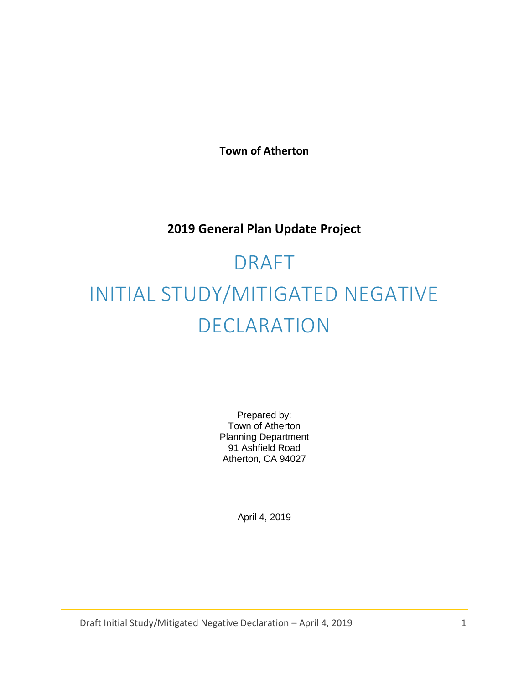**Town of Atherton**

# **2019 General Plan Update Project**

# DRAFT INITIAL STUDY/MITIGATED NEGATIVE DECLARATION

Prepared by: Town of Atherton Planning Department 91 Ashfield Road Atherton, CA 94027

April 4, 2019

Draft Initial Study/Mitigated Negative Declaration – April 4, 2019 1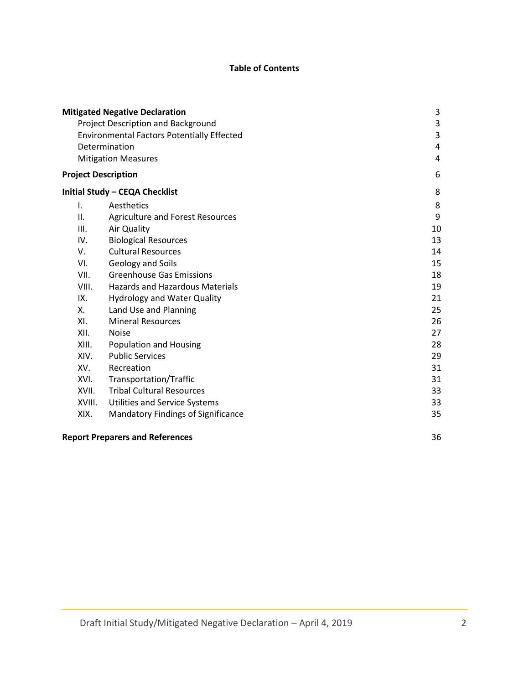# **Table of Contents**

|                                                   | <b>Mitigated Negative Declaration</b>     | 3  |
|---------------------------------------------------|-------------------------------------------|----|
| Project Description and Background                | 3                                         |    |
| <b>Environmental Factors Potentially Effected</b> | 3                                         |    |
|                                                   | Determination                             | 4  |
|                                                   | <b>Mitigation Measures</b>                | 4  |
| <b>Project Description</b>                        |                                           | 6  |
|                                                   | Initial Study - CEQA Checklist            | 8  |
| I.                                                | Aesthetics                                | 8  |
| II.                                               | <b>Agriculture and Forest Resources</b>   | 9  |
| Ш.                                                | Air Quality                               | 10 |
| IV.                                               | <b>Biological Resources</b>               | 13 |
| V.                                                | <b>Cultural Resources</b>                 | 14 |
| VI.                                               | Geology and Soils                         | 15 |
| VII.                                              | <b>Greenhouse Gas Emissions</b>           | 18 |
| VIII.                                             | <b>Hazards and Hazardous Materials</b>    | 19 |
| IX.                                               | <b>Hydrology and Water Quality</b>        | 21 |
| Χ.                                                | Land Use and Planning                     | 25 |
| XI.                                               | <b>Mineral Resources</b>                  | 26 |
| XII.                                              | <b>Noise</b>                              | 27 |
| XIII.                                             | <b>Population and Housing</b>             | 28 |
| XIV.                                              | <b>Public Services</b>                    | 29 |
| XV.                                               | Recreation                                | 31 |
| XVI.                                              | Transportation/Traffic                    | 31 |
| XVII.                                             | <b>Tribal Cultural Resources</b>          | 33 |
| XVIII.                                            | <b>Utilities and Service Systems</b>      | 33 |
| XIX.                                              | <b>Mandatory Findings of Significance</b> | 35 |
|                                                   | <b>Report Preparers and References</b>    | 36 |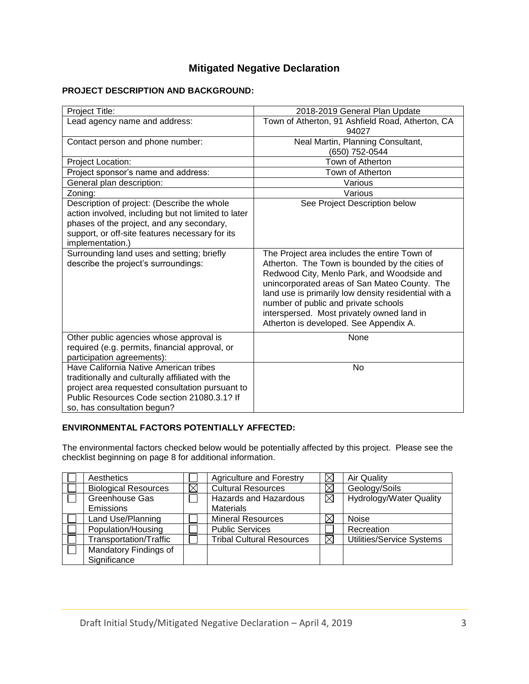# **Mitigated Negative Declaration**

## **PROJECT DESCRIPTION AND BACKGROUND:**

| Project Title:                                                                                                                                                                                                              | 2018-2019 General Plan Update                                                                                                                                                                                                                                                                                                                                                         |
|-----------------------------------------------------------------------------------------------------------------------------------------------------------------------------------------------------------------------------|---------------------------------------------------------------------------------------------------------------------------------------------------------------------------------------------------------------------------------------------------------------------------------------------------------------------------------------------------------------------------------------|
| Lead agency name and address:                                                                                                                                                                                               | Town of Atherton, 91 Ashfield Road, Atherton, CA<br>94027                                                                                                                                                                                                                                                                                                                             |
| Contact person and phone number:                                                                                                                                                                                            | Neal Martin, Planning Consultant,<br>(650) 752-0544                                                                                                                                                                                                                                                                                                                                   |
| Project Location:                                                                                                                                                                                                           | Town of Atherton                                                                                                                                                                                                                                                                                                                                                                      |
| Project sponsor's name and address:                                                                                                                                                                                         | Town of Atherton                                                                                                                                                                                                                                                                                                                                                                      |
| General plan description:                                                                                                                                                                                                   | Various                                                                                                                                                                                                                                                                                                                                                                               |
| Zoning:                                                                                                                                                                                                                     | Various                                                                                                                                                                                                                                                                                                                                                                               |
| Description of project: (Describe the whole<br>action involved, including but not limited to later<br>phases of the project, and any secondary,<br>support, or off-site features necessary for its<br>implementation.)      | See Project Description below                                                                                                                                                                                                                                                                                                                                                         |
| Surrounding land uses and setting; briefly<br>describe the project's surroundings:                                                                                                                                          | The Project area includes the entire Town of<br>Atherton. The Town is bounded by the cities of<br>Redwood City, Menlo Park, and Woodside and<br>unincorporated areas of San Mateo County. The<br>land use is primarily low density residential with a<br>number of public and private schools<br>interspersed. Most privately owned land in<br>Atherton is developed. See Appendix A. |
| Other public agencies whose approval is<br>required (e.g. permits, financial approval, or<br>participation agreements):                                                                                                     | None                                                                                                                                                                                                                                                                                                                                                                                  |
| Have California Native American tribes<br>traditionally and culturally affiliated with the<br>project area requested consultation pursuant to<br>Public Resources Code section 21080.3.1? If<br>so, has consultation begun? | No                                                                                                                                                                                                                                                                                                                                                                                    |

# **ENVIRONMENTAL FACTORS POTENTIALLY AFFECTED:**

The environmental factors checked below would be potentially affected by this project. Please see the checklist beginning on page 8 for additional information.

| Aesthetics                  | <b>Agriculture and Forestry</b>  |          | <b>Air Quality</b>             |
|-----------------------------|----------------------------------|----------|--------------------------------|
| <b>Biological Resources</b> | <b>Cultural Resources</b>        | $\times$ | Geology/Soils                  |
| Greenhouse Gas              | <b>Hazards and Hazardous</b>     | ⊠        | <b>Hydrology/Water Quality</b> |
| Emissions                   | <b>Materials</b>                 |          |                                |
| Land Use/Planning           | <b>Mineral Resources</b>         |          | <b>Noise</b>                   |
| Population/Housing          | <b>Public Services</b>           |          | Recreation                     |
| Transportation/Traffic      | <b>Tribal Cultural Resources</b> | IX       | Utilities/Service Systems      |
| Mandatory Findings of       |                                  |          |                                |
| Significance                |                                  |          |                                |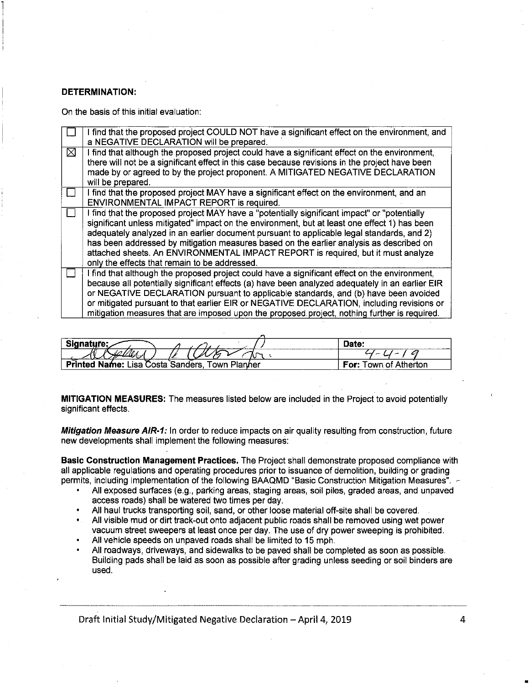#### **DETERMINATION:**

On the basis of this initial evaluation:

|   | I find that the proposed project COULD NOT have a significant effect on the environment, and<br>a NEGATIVE DECLARATION will be prepared.                                                                                                                                                                                                                                                                                                                                                                                  |
|---|---------------------------------------------------------------------------------------------------------------------------------------------------------------------------------------------------------------------------------------------------------------------------------------------------------------------------------------------------------------------------------------------------------------------------------------------------------------------------------------------------------------------------|
| ⊠ | I find that although the proposed project could have a significant effect on the environment,<br>there will not be a significant effect in this case because revisions in the project have been<br>made by or agreed to by the project proponent. A MITIGATED NEGATIVE DECLARATION<br>will be prepared.                                                                                                                                                                                                                   |
|   | I find that the proposed project MAY have a significant effect on the environment, and an<br>ENVIRONMENTAL IMPACT REPORT is required.                                                                                                                                                                                                                                                                                                                                                                                     |
|   | I find that the proposed project MAY have a "potentially significant impact" or "potentially<br>significant unless mitigated" impact on the environment, but at least one effect 1) has been<br>adequately analyzed in an earlier document pursuant to applicable legal standards, and 2)<br>has been addressed by mitigation measures based on the earlier analysis as described on<br>attached sheets. An ENVIRONMENTAL IMPACT REPORT is required, but it must analyze<br>only the effects that remain to be addressed. |
|   | I find that although the proposed project could have a significant effect on the environment,<br>because all potentially significant effects (a) have been analyzed adequately in an earlier EIR<br>or NEGATIVE DECLARATION pursuant to applicable standards, and (b) have been avoided<br>or mitigated pursuant to that earlier EIR or NEGATIVE DECLARATION, including revisions or<br>mitigation measures that are imposed upon the proposed project, nothing further is required.                                      |

| Signature:<br>-----------                         | Date:                    |
|---------------------------------------------------|--------------------------|
| $\sigma$ <sub>-</sub>                             |                          |
| Town Planner<br>Printed Name: Lisa Costa Sanders. | For:<br>Town of Atherton |

MITIGATION MEASURES: The measures listed below are included in the Project to avoid potentially significant effects.

Mitigation Measure AIR-1: In order to reduce impacts on air quality resulting from construction, future new developments shall implement the following measures:

Basic Construction Management Practices. The Project shall demonstrate proposed compliance with all applicable regulations and operating procedures prior to issuance of demolition, building or grading permits, including implementation of the following BAAQMD "Basic Construction Mitigation Measures". ~

- All exposed surfaces (e.g., parking areas, staging areas, soil piles, graded areas, and unpaved access roads) shall be watered two times per day.
- All haul trucks transporting soil, sand, or other loose material off-site shall be covered.
- All visible mud or dirt track-out onto adjacent public roads shall be removed using wet power vacuum street sweepers at least once per day. The use of dry power sweeping is prohibited.
- All vehicle speeds on unpaved roads shall be limited to 15 mph.
- All roadways, driveways, and sidewalks to be paved shall be completed as soon as possible. Building pads shall be laid as soon as possible after grading unless seeding or soil binders are used.

Draft Initial Study/Mitigated Negative Declaration - April 4, 2019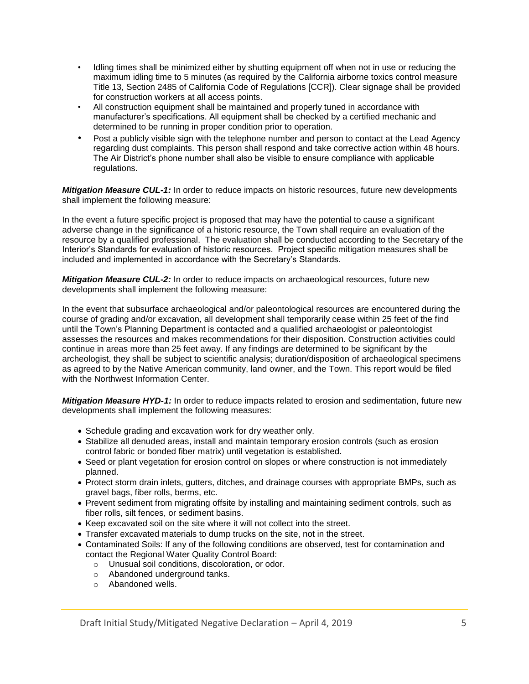- Idling times shall be minimized either by shutting equipment off when not in use or reducing the maximum idling time to 5 minutes (as required by the California airborne toxics control measure Title 13, Section 2485 of California Code of Regulations [CCR]). Clear signage shall be provided for construction workers at all access points.
- All construction equipment shall be maintained and properly tuned in accordance with manufacturer's specifications. All equipment shall be checked by a certified mechanic and determined to be running in proper condition prior to operation.
- Post a publicly visible sign with the telephone number and person to contact at the Lead Agency regarding dust complaints. This person shall respond and take corrective action within 48 hours. The Air District's phone number shall also be visible to ensure compliance with applicable regulations.

*Mitigation Measure CUL-1:* In order to reduce impacts on historic resources, future new developments shall implement the following measure:

In the event a future specific project is proposed that may have the potential to cause a significant adverse change in the significance of a historic resource, the Town shall require an evaluation of the resource by a qualified professional. The evaluation shall be conducted according to the Secretary of the Interior's Standards for evaluation of historic resources. Project specific mitigation measures shall be included and implemented in accordance with the Secretary's Standards.

*Mitigation Measure CUL-2:* In order to reduce impacts on archaeological resources, future new developments shall implement the following measure:

In the event that subsurface archaeological and/or paleontological resources are encountered during the course of grading and/or excavation, all development shall temporarily cease within 25 feet of the find until the Town's Planning Department is contacted and a qualified archaeologist or paleontologist assesses the resources and makes recommendations for their disposition. Construction activities could continue in areas more than 25 feet away. If any findings are determined to be significant by the archeologist, they shall be subject to scientific analysis; duration/disposition of archaeological specimens as agreed to by the Native American community, land owner, and the Town. This report would be filed with the Northwest Information Center.

*Mitigation Measure HYD-1:* In order to reduce impacts related to erosion and sedimentation, future new developments shall implement the following measures:

- Schedule grading and excavation work for dry weather only.
- Stabilize all denuded areas, install and maintain temporary erosion controls (such as erosion control fabric or bonded fiber matrix) until vegetation is established.
- Seed or plant vegetation for erosion control on slopes or where construction is not immediately planned.
- Protect storm drain inlets, gutters, ditches, and drainage courses with appropriate BMPs, such as gravel bags, fiber rolls, berms, etc.
- Prevent sediment from migrating offsite by installing and maintaining sediment controls, such as fiber rolls, silt fences, or sediment basins.
- Keep excavated soil on the site where it will not collect into the street.
- Transfer excavated materials to dump trucks on the site, not in the street.
- Contaminated Soils: If any of the following conditions are observed, test for contamination and contact the Regional Water Quality Control Board:
	- o Unusual soil conditions, discoloration, or odor.
	- o Abandoned underground tanks.
	- o Abandoned wells.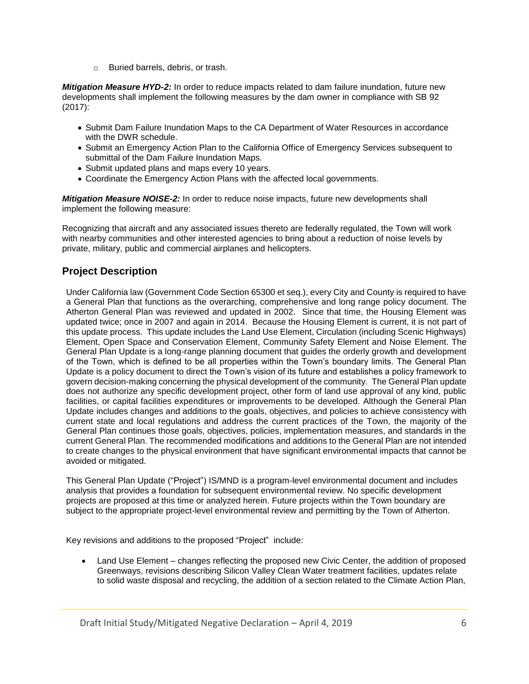o Buried barrels, debris, or trash.

*Mitigation Measure HYD-2:* In order to reduce impacts related to dam failure inundation, future new developments shall implement the following measures by the dam owner in compliance with SB 92 (2017):

- Submit Dam Failure Inundation Maps to the CA Department of Water Resources in accordance with the DWR schedule.
- Submit an Emergency Action Plan to the California Office of Emergency Services subsequent to submittal of the Dam Failure Inundation Maps.
- Submit updated plans and maps every 10 years.
- Coordinate the Emergency Action Plans with the affected local governments.

*Mitigation Measure NOISE-2:* In order to reduce noise impacts, future new developments shall implement the following measure:

Recognizing that aircraft and any associated issues thereto are federally regulated, the Town will work with nearby communities and other interested agencies to bring about a reduction of noise levels by private, military, public and commercial airplanes and helicopters.

# **Project Description**

Under California law (Government Code Section 65300 et seq.), every City and County is required to have a General Plan that functions as the overarching, comprehensive and long range policy document. The Atherton General Plan was reviewed and updated in 2002. Since that time, the Housing Element was updated twice; once in 2007 and again in 2014. Because the Housing Element is current, it is not part of this update process. This update includes the Land Use Element, Circulation (including Scenic Highways) Element, Open Space and Conservation Element, Community Safety Element and Noise Element. The General Plan Update is a long-range planning document that guides the orderly growth and development of the Town, which is defined to be all properties within the Town's boundary limits. The General Plan Update is a policy document to direct the Town's vision of its future and establishes a policy framework to govern decision-making concerning the physical development of the community. The General Plan update does not authorize any specific development project, other form of land use approval of any kind, public facilities, or capital facilities expenditures or improvements to be developed. Although the General Plan Update includes changes and additions to the goals, objectives, and policies to achieve consistency with current state and local regulations and address the current practices of the Town, the majority of the General Plan continues those goals, objectives, policies, implementation measures, and standards in the current General Plan. The recommended modifications and additions to the General Plan are not intended to create changes to the physical environment that have significant environmental impacts that cannot be avoided or mitigated.

This General Plan Update ("Project") IS/MND is a program-level environmental document and includes analysis that provides a foundation for subsequent environmental review. No specific development projects are proposed at this time or analyzed herein. Future projects within the Town boundary are subject to the appropriate project-level environmental review and permitting by the Town of Atherton.

Key revisions and additions to the proposed "Project" include:

• Land Use Element – changes reflecting the proposed new Civic Center, the addition of proposed Greenways, revisions describing Silicon Valley Clean Water treatment facilities, updates relate to solid waste disposal and recycling, the addition of a section related to the Climate Action Plan,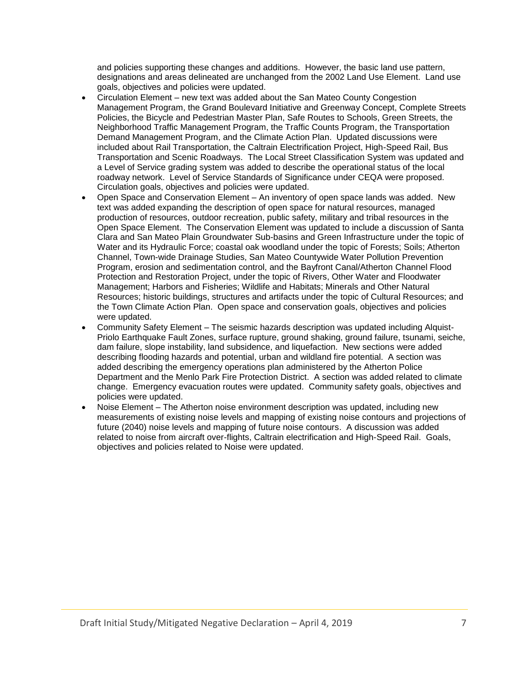and policies supporting these changes and additions. However, the basic land use pattern, designations and areas delineated are unchanged from the 2002 Land Use Element. Land use goals, objectives and policies were updated.

- Circulation Element new text was added about the San Mateo County Congestion Management Program, the Grand Boulevard Initiative and Greenway Concept, Complete Streets Policies, the Bicycle and Pedestrian Master Plan, Safe Routes to Schools, Green Streets, the Neighborhood Traffic Management Program, the Traffic Counts Program, the Transportation Demand Management Program, and the Climate Action Plan. Updated discussions were included about Rail Transportation, the Caltrain Electrification Project, High-Speed Rail, Bus Transportation and Scenic Roadways. The Local Street Classification System was updated and a Level of Service grading system was added to describe the operational status of the local roadway network. Level of Service Standards of Significance under CEQA were proposed. Circulation goals, objectives and policies were updated.
- Open Space and Conservation Element An inventory of open space lands was added. New text was added expanding the description of open space for natural resources, managed production of resources, outdoor recreation, public safety, military and tribal resources in the Open Space Element. The Conservation Element was updated to include a discussion of Santa Clara and San Mateo Plain Groundwater Sub-basins and Green Infrastructure under the topic of Water and its Hydraulic Force; coastal oak woodland under the topic of Forests; Soils; Atherton Channel, Town-wide Drainage Studies, San Mateo Countywide Water Pollution Prevention Program, erosion and sedimentation control, and the Bayfront Canal/Atherton Channel Flood Protection and Restoration Project, under the topic of Rivers, Other Water and Floodwater Management; Harbors and Fisheries; Wildlife and Habitats; Minerals and Other Natural Resources; historic buildings, structures and artifacts under the topic of Cultural Resources; and the Town Climate Action Plan. Open space and conservation goals, objectives and policies were updated.
- Community Safety Element The seismic hazards description was updated including Alquist-Priolo Earthquake Fault Zones, surface rupture, ground shaking, ground failure, tsunami, seiche, dam failure, slope instability, land subsidence, and liquefaction. New sections were added describing flooding hazards and potential, urban and wildland fire potential. A section was added describing the emergency operations plan administered by the Atherton Police Department and the Menlo Park Fire Protection District. A section was added related to climate change. Emergency evacuation routes were updated. Community safety goals, objectives and policies were updated.
- Noise Element The Atherton noise environment description was updated, including new measurements of existing noise levels and mapping of existing noise contours and projections of future (2040) noise levels and mapping of future noise contours. A discussion was added related to noise from aircraft over-flights, Caltrain electrification and High-Speed Rail. Goals, objectives and policies related to Noise were updated.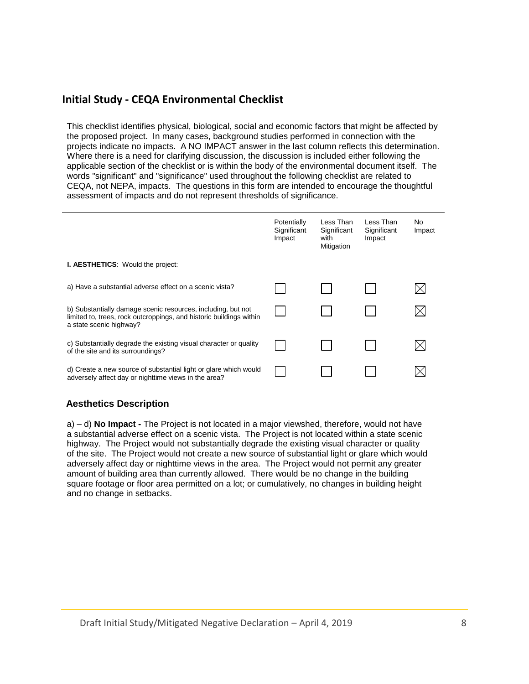# **Initial Study - CEQA Environmental Checklist**

This checklist identifies physical, biological, social and economic factors that might be affected by the proposed project. In many cases, background studies performed in connection with the projects indicate no impacts. A NO IMPACT answer in the last column reflects this determination. Where there is a need for clarifying discussion, the discussion is included either following the applicable section of the checklist or is within the body of the environmental document itself. The words "significant" and "significance" used throughout the following checklist are related to CEQA, not NEPA, impacts. The questions in this form are intended to encourage the thoughtful assessment of impacts and do not represent thresholds of significance.

|                                                                                                                                                                | Potentially<br>Significant<br>Impact | Less Than<br>Significant<br>with<br>Mitigation | Less Than<br>Significant<br>Impact | No<br>Impact |
|----------------------------------------------------------------------------------------------------------------------------------------------------------------|--------------------------------------|------------------------------------------------|------------------------------------|--------------|
| <b>I. AESTHETICS:</b> Would the project:                                                                                                                       |                                      |                                                |                                    |              |
| a) Have a substantial adverse effect on a scenic vista?                                                                                                        |                                      |                                                |                                    |              |
| b) Substantially damage scenic resources, including, but not<br>limited to, trees, rock outcroppings, and historic buildings within<br>a state scenic highway? |                                      |                                                |                                    |              |
| c) Substantially degrade the existing visual character or quality<br>of the site and its surroundings?                                                         |                                      |                                                |                                    |              |
| d) Create a new source of substantial light or glare which would<br>adversely affect day or nighttime views in the area?                                       |                                      |                                                |                                    |              |

# **Aesthetics Description**

a) – d) **No Impact -** The Project is not located in a major viewshed, therefore, would not have a substantial adverse effect on a scenic vista. The Project is not located within a state scenic highway. The Project would not substantially degrade the existing visual character or quality of the site. The Project would not create a new source of substantial light or glare which would adversely affect day or nighttime views in the area. The Project would not permit any greater amount of building area than currently allowed. There would be no change in the building square footage or floor area permitted on a lot; or cumulatively, no changes in building height and no change in setbacks.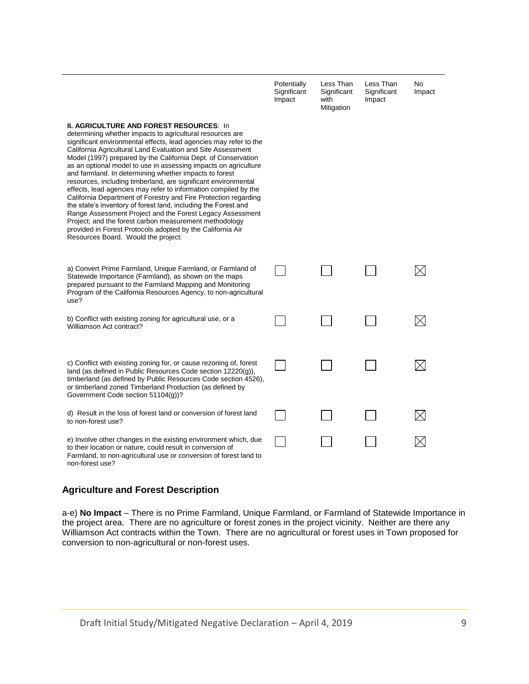|                                                                                                                                                                                                                                                                                                                                                                                                                                                                                                                                                                                                                                                                                                                                                                                                                                                                                                                                                      | Potentially<br>Significant<br>Impact | Less Than<br>Significant<br>with<br>Mitigation | Less Than<br>Significant<br>Impact | No<br>Impact |
|------------------------------------------------------------------------------------------------------------------------------------------------------------------------------------------------------------------------------------------------------------------------------------------------------------------------------------------------------------------------------------------------------------------------------------------------------------------------------------------------------------------------------------------------------------------------------------------------------------------------------------------------------------------------------------------------------------------------------------------------------------------------------------------------------------------------------------------------------------------------------------------------------------------------------------------------------|--------------------------------------|------------------------------------------------|------------------------------------|--------------|
| <b>II. AGRICULTURE AND FOREST RESOURCES: In</b><br>determining whether impacts to agricultural resources are<br>significant environmental effects, lead agencies may refer to the<br>California Agricultural Land Evaluation and Site Assessment<br>Model (1997) prepared by the California Dept. of Conservation<br>as an optional model to use in assessing impacts on agriculture<br>and farmland. In determining whether impacts to forest<br>resources, including timberland, are significant environmental<br>effects, lead agencies may refer to information compiled by the<br>California Department of Forestry and Fire Protection regarding<br>the state's inventory of forest land, including the Forest and<br>Range Assessment Project and the Forest Legacy Assessment<br>Project; and the forest carbon measurement methodology<br>provided in Forest Protocols adopted by the California Air<br>Resources Board. Would the project: |                                      |                                                |                                    |              |
| a) Convert Prime Farmland, Unique Farmland, or Farmland of<br>Statewide Importance (Farmland), as shown on the maps<br>prepared pursuant to the Farmland Mapping and Monitoring<br>Program of the California Resources Agency, to non-agricultural<br>use?                                                                                                                                                                                                                                                                                                                                                                                                                                                                                                                                                                                                                                                                                           |                                      |                                                |                                    |              |
| b) Conflict with existing zoning for agricultural use, or a<br>Williamson Act contract?                                                                                                                                                                                                                                                                                                                                                                                                                                                                                                                                                                                                                                                                                                                                                                                                                                                              |                                      |                                                |                                    |              |
| c) Conflict with existing zoning for, or cause rezoning of, forest<br>land (as defined in Public Resources Code section 12220(g)),<br>timberland (as defined by Public Resources Code section 4526),<br>or timberland zoned Timberland Production (as defined by<br>Government Code section 51104(g))?                                                                                                                                                                                                                                                                                                                                                                                                                                                                                                                                                                                                                                               |                                      |                                                |                                    |              |
| d) Result in the loss of forest land or conversion of forest land<br>to non-forest use?                                                                                                                                                                                                                                                                                                                                                                                                                                                                                                                                                                                                                                                                                                                                                                                                                                                              |                                      |                                                |                                    |              |
| e) Involve other changes in the existing environment which, due<br>to their location or nature, could result in conversion of<br>Farmland, to non-agricultural use or conversion of forest land to<br>non-forest use?                                                                                                                                                                                                                                                                                                                                                                                                                                                                                                                                                                                                                                                                                                                                |                                      |                                                |                                    |              |

## **Agriculture and Forest Description**

a-e) **No Impact** – There is no Prime Farmland, Unique Farmland, or Farmland of Statewide Importance in the project area. There are no agriculture or forest zones in the project vicinity. Neither are there any Williamson Act contracts within the Town. There are no agricultural or forest uses in Town proposed for conversion to non-agricultural or non-forest uses.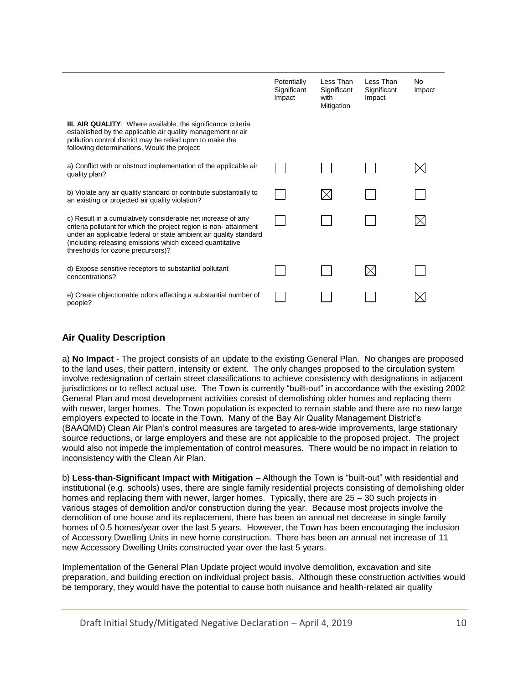|                                                                                                                                                                                                                                                                                                         | Potentially<br>Significant<br>Impact | Less Than<br>Significant<br>with<br>Mitigation | Less Than<br>Significant<br>Impact | No<br>Impact |
|---------------------------------------------------------------------------------------------------------------------------------------------------------------------------------------------------------------------------------------------------------------------------------------------------------|--------------------------------------|------------------------------------------------|------------------------------------|--------------|
| <b>III. AIR QUALITY:</b> Where available, the significance criteria<br>established by the applicable air quality management or air<br>pollution control district may be relied upon to make the<br>following determinations. Would the project:                                                         |                                      |                                                |                                    |              |
| a) Conflict with or obstruct implementation of the applicable air<br>quality plan?                                                                                                                                                                                                                      |                                      |                                                |                                    |              |
| b) Violate any air quality standard or contribute substantially to<br>an existing or projected air quality violation?                                                                                                                                                                                   |                                      |                                                |                                    |              |
| c) Result in a cumulatively considerable net increase of any<br>criteria pollutant for which the project region is non-attainment<br>under an applicable federal or state ambient air quality standard<br>(including releasing emissions which exceed quantitative<br>thresholds for ozone precursors)? |                                      |                                                |                                    |              |
| d) Expose sensitive receptors to substantial pollutant<br>concentrations?                                                                                                                                                                                                                               |                                      |                                                |                                    |              |
| e) Create objectionable odors affecting a substantial number of<br>people?                                                                                                                                                                                                                              |                                      |                                                |                                    |              |

## **Air Quality Description**

a) **No Impact** - The project consists of an update to the existing General Plan. No changes are proposed to the land uses, their pattern, intensity or extent. The only changes proposed to the circulation system involve redesignation of certain street classifications to achieve consistency with designations in adjacent jurisdictions or to reflect actual use. The Town is currently "built-out" in accordance with the existing 2002 General Plan and most development activities consist of demolishing older homes and replacing them with newer, larger homes. The Town population is expected to remain stable and there are no new large employers expected to locate in the Town. Many of the Bay Air Quality Management District's (BAAQMD) Clean Air Plan's control measures are targeted to area-wide improvements, large stationary source reductions, or large employers and these are not applicable to the proposed project. The project would also not impede the implementation of control measures. There would be no impact in relation to inconsistency with the Clean Air Plan.

b) **Less-than-Significant Impact with Mitigation** – Although the Town is "built-out" with residential and institutional (e.g. schools) uses, there are single family residential projects consisting of demolishing older homes and replacing them with newer, larger homes. Typically, there are 25 – 30 such projects in various stages of demolition and/or construction during the year. Because most projects involve the demolition of one house and its replacement, there has been an annual net decrease in single family homes of 0.5 homes/year over the last 5 years. However, the Town has been encouraging the inclusion of Accessory Dwelling Units in new home construction. There has been an annual net increase of 11 new Accessory Dwelling Units constructed year over the last 5 years.

Implementation of the General Plan Update project would involve demolition, excavation and site preparation, and building erection on individual project basis. Although these construction activities would be temporary, they would have the potential to cause both nuisance and health-related air quality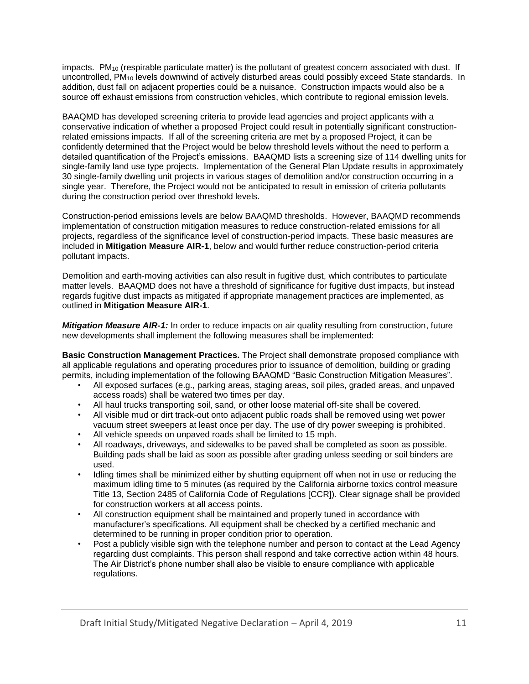impacts. PM<sub>10</sub> (respirable particulate matter) is the pollutant of greatest concern associated with dust. If uncontrolled, PM<sup>10</sup> levels downwind of actively disturbed areas could possibly exceed State standards. In addition, dust fall on adjacent properties could be a nuisance. Construction impacts would also be a source off exhaust emissions from construction vehicles, which contribute to regional emission levels.

BAAQMD has developed screening criteria to provide lead agencies and project applicants with a conservative indication of whether a proposed Project could result in potentially significant constructionrelated emissions impacts. If all of the screening criteria are met by a proposed Project, it can be confidently determined that the Project would be below threshold levels without the need to perform a detailed quantification of the Project's emissions. BAAQMD lists a screening size of 114 dwelling units for single-family land use type projects. Implementation of the General Plan Update results in approximately 30 single-family dwelling unit projects in various stages of demolition and/or construction occurring in a single year. Therefore, the Project would not be anticipated to result in emission of criteria pollutants during the construction period over threshold levels.

Construction-period emissions levels are below BAAQMD thresholds. However, BAAQMD recommends implementation of construction mitigation measures to reduce construction-related emissions for all projects, regardless of the significance level of construction-period impacts. These basic measures are included in **Mitigation Measure AIR-1**, below and would further reduce construction-period criteria pollutant impacts.

Demolition and earth-moving activities can also result in fugitive dust, which contributes to particulate matter levels. BAAQMD does not have a threshold of significance for fugitive dust impacts, but instead regards fugitive dust impacts as mitigated if appropriate management practices are implemented, as outlined in **Mitigation Measure AIR-1**.

*Mitigation Measure AIR-1:* In order to reduce impacts on air quality resulting from construction, future new developments shall implement the following measures shall be implemented:

**Basic Construction Management Practices.** The Project shall demonstrate proposed compliance with all applicable regulations and operating procedures prior to issuance of demolition, building or grading permits, including implementation of the following BAAQMD "Basic Construction Mitigation Measures".

- All exposed surfaces (e.g., parking areas, staging areas, soil piles, graded areas, and unpaved access roads) shall be watered two times per day.
- All haul trucks transporting soil, sand, or other loose material off-site shall be covered.
- All visible mud or dirt track-out onto adjacent public roads shall be removed using wet power vacuum street sweepers at least once per day. The use of dry power sweeping is prohibited.
- All vehicle speeds on unpaved roads shall be limited to 15 mph.
- All roadways, driveways, and sidewalks to be paved shall be completed as soon as possible. Building pads shall be laid as soon as possible after grading unless seeding or soil binders are used.
- Idling times shall be minimized either by shutting equipment off when not in use or reducing the maximum idling time to 5 minutes (as required by the California airborne toxics control measure Title 13, Section 2485 of California Code of Regulations [CCR]). Clear signage shall be provided for construction workers at all access points.
- All construction equipment shall be maintained and properly tuned in accordance with manufacturer's specifications. All equipment shall be checked by a certified mechanic and determined to be running in proper condition prior to operation.
- Post a publicly visible sign with the telephone number and person to contact at the Lead Agency regarding dust complaints. This person shall respond and take corrective action within 48 hours. The Air District's phone number shall also be visible to ensure compliance with applicable regulations.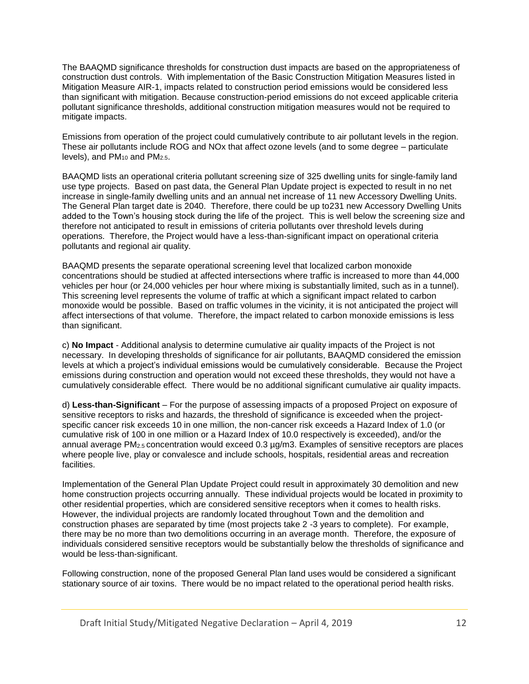The BAAQMD significance thresholds for construction dust impacts are based on the appropriateness of construction dust controls. With implementation of the Basic Construction Mitigation Measures listed in Mitigation Measure AIR-1, impacts related to construction period emissions would be considered less than significant with mitigation. Because construction-period emissions do not exceed applicable criteria pollutant significance thresholds, additional construction mitigation measures would not be required to mitigate impacts.

Emissions from operation of the project could cumulatively contribute to air pollutant levels in the region. These air pollutants include ROG and NOx that affect ozone levels (and to some degree – particulate levels), and  $PM_{10}$  and  $PM_{2.5}$ .

BAAQMD lists an operational criteria pollutant screening size of 325 dwelling units for single-family land use type projects. Based on past data, the General Plan Update project is expected to result in no net increase in single-family dwelling units and an annual net increase of 11 new Accessory Dwelling Units. The General Plan target date is 2040. Therefore, there could be up to231 new Accessory Dwelling Units added to the Town's housing stock during the life of the project. This is well below the screening size and therefore not anticipated to result in emissions of criteria pollutants over threshold levels during operations. Therefore, the Project would have a less-than-significant impact on operational criteria pollutants and regional air quality.

BAAQMD presents the separate operational screening level that localized carbon monoxide concentrations should be studied at affected intersections where traffic is increased to more than 44,000 vehicles per hour (or 24,000 vehicles per hour where mixing is substantially limited, such as in a tunnel). This screening level represents the volume of traffic at which a significant impact related to carbon monoxide would be possible. Based on traffic volumes in the vicinity, it is not anticipated the project will affect intersections of that volume. Therefore, the impact related to carbon monoxide emissions is less than significant.

c) **No Impact** - Additional analysis to determine cumulative air quality impacts of the Project is not necessary. In developing thresholds of significance for air pollutants, BAAQMD considered the emission levels at which a project's individual emissions would be cumulatively considerable. Because the Project emissions during construction and operation would not exceed these thresholds, they would not have a cumulatively considerable effect. There would be no additional significant cumulative air quality impacts.

d) **Less-than-Significant** – For the purpose of assessing impacts of a proposed Project on exposure of sensitive receptors to risks and hazards, the threshold of significance is exceeded when the projectspecific cancer risk exceeds 10 in one million, the non-cancer risk exceeds a Hazard Index of 1.0 (or cumulative risk of 100 in one million or a Hazard Index of 10.0 respectively is exceeded), and/or the annual average  $PM_{2.5}$  concentration would exceed 0.3  $\mu$ g/m3. Examples of sensitive receptors are places where people live, play or convalesce and include schools, hospitals, residential areas and recreation facilities.

Implementation of the General Plan Update Project could result in approximately 30 demolition and new home construction projects occurring annually. These individual projects would be located in proximity to other residential properties, which are considered sensitive receptors when it comes to health risks. However, the individual projects are randomly located throughout Town and the demolition and construction phases are separated by time (most projects take 2 -3 years to complete). For example, there may be no more than two demolitions occurring in an average month. Therefore, the exposure of individuals considered sensitive receptors would be substantially below the thresholds of significance and would be less-than-significant.

Following construction, none of the proposed General Plan land uses would be considered a significant stationary source of air toxins. There would be no impact related to the operational period health risks.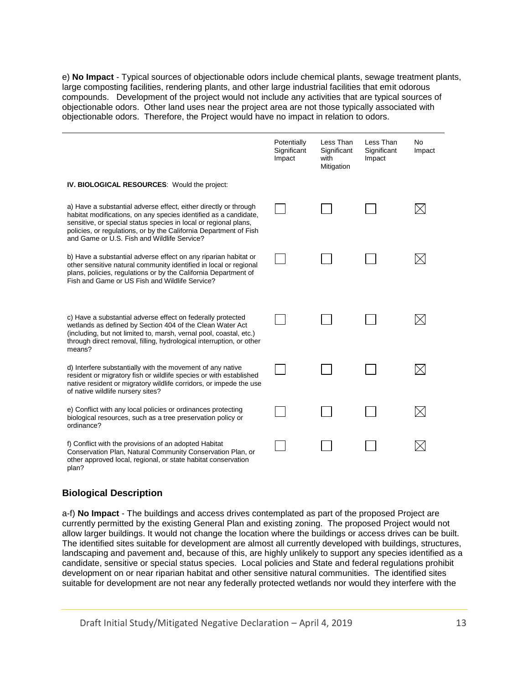e) **No Impact** - Typical sources of objectionable odors include chemical plants, sewage treatment plants, large composting facilities, rendering plants, and other large industrial facilities that emit odorous compounds. Development of the project would not include any activities that are typical sources of objectionable odors. Other land uses near the project area are not those typically associated with objectionable odors. Therefore, the Project would have no impact in relation to odors.

|                                                                                                                                                                                                                                                                                                                              | Potentially<br>Significant<br>Impact | Less Than<br>Significant<br>with<br>Mitigation | Less Than<br>Significant<br>Impact | <b>No</b><br>Impact |
|------------------------------------------------------------------------------------------------------------------------------------------------------------------------------------------------------------------------------------------------------------------------------------------------------------------------------|--------------------------------------|------------------------------------------------|------------------------------------|---------------------|
| <b>IV. BIOLOGICAL RESOURCES:</b> Would the project:                                                                                                                                                                                                                                                                          |                                      |                                                |                                    |                     |
| a) Have a substantial adverse effect, either directly or through<br>habitat modifications, on any species identified as a candidate,<br>sensitive, or special status species in local or regional plans,<br>policies, or regulations, or by the California Department of Fish<br>and Game or U.S. Fish and Wildlife Service? |                                      |                                                |                                    |                     |
| b) Have a substantial adverse effect on any riparian habitat or<br>other sensitive natural community identified in local or regional<br>plans, policies, regulations or by the California Department of<br>Fish and Game or US Fish and Wildlife Service?                                                                    |                                      |                                                |                                    |                     |
| c) Have a substantial adverse effect on federally protected<br>wetlands as defined by Section 404 of the Clean Water Act<br>(including, but not limited to, marsh, vernal pool, coastal, etc.)<br>through direct removal, filling, hydrological interruption, or other<br>means?                                             |                                      |                                                |                                    |                     |
| d) Interfere substantially with the movement of any native<br>resident or migratory fish or wildlife species or with established<br>native resident or migratory wildlife corridors, or impede the use<br>of native wildlife nursery sites?                                                                                  |                                      |                                                |                                    |                     |
| e) Conflict with any local policies or ordinances protecting<br>biological resources, such as a tree preservation policy or<br>ordinance?                                                                                                                                                                                    |                                      |                                                |                                    |                     |
| f) Conflict with the provisions of an adopted Habitat<br>Conservation Plan, Natural Community Conservation Plan, or<br>other approved local, regional, or state habitat conservation<br>plan?                                                                                                                                |                                      |                                                |                                    |                     |

# **Biological Description**

a-f) **No Impact** - The buildings and access drives contemplated as part of the proposed Project are currently permitted by the existing General Plan and existing zoning. The proposed Project would not allow larger buildings. It would not change the location where the buildings or access drives can be built. The identified sites suitable for development are almost all currently developed with buildings, structures, landscaping and pavement and, because of this, are highly unlikely to support any species identified as a candidate, sensitive or special status species. Local policies and State and federal regulations prohibit development on or near riparian habitat and other sensitive natural communities. The identified sites suitable for development are not near any federally protected wetlands nor would they interfere with the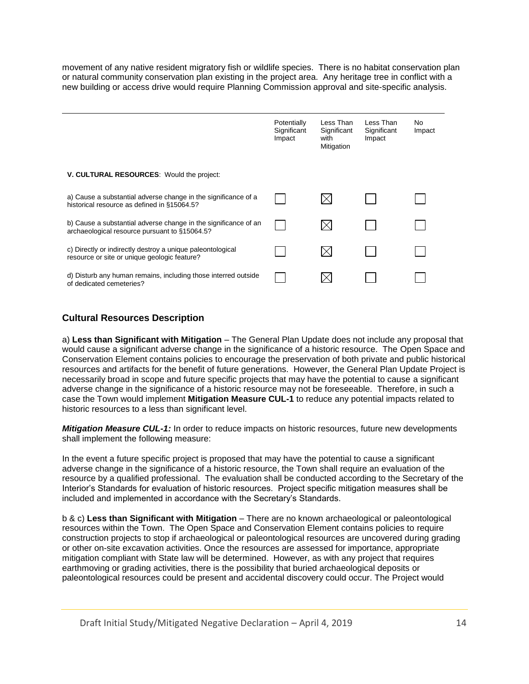movement of any native resident migratory fish or wildlife species. There is no habitat conservation plan or natural community conservation plan existing in the project area. Any heritage tree in conflict with a new building or access drive would require Planning Commission approval and site-specific analysis.

|                                                                                                                  | Potentially<br>Significant<br>Impact | Less Than<br>Significant<br>with<br>Mitigation | Less Than<br>Significant<br>Impact | No.<br>Impact |
|------------------------------------------------------------------------------------------------------------------|--------------------------------------|------------------------------------------------|------------------------------------|---------------|
| V. CULTURAL RESOURCES: Would the project:                                                                        |                                      |                                                |                                    |               |
| a) Cause a substantial adverse change in the significance of a<br>historical resource as defined in §15064.5?    |                                      |                                                |                                    |               |
| b) Cause a substantial adverse change in the significance of an<br>archaeological resource pursuant to §15064.5? |                                      |                                                |                                    |               |
| c) Directly or indirectly destroy a unique paleontological<br>resource or site or unique geologic feature?       |                                      |                                                |                                    |               |
| d) Disturb any human remains, including those interred outside<br>of dedicated cemeteries?                       |                                      |                                                |                                    |               |

## **Cultural Resources Description**

a) **Less than Significant with Mitigation** – The General Plan Update does not include any proposal that would cause a significant adverse change in the significance of a historic resource. The Open Space and Conservation Element contains policies to encourage the preservation of both private and public historical resources and artifacts for the benefit of future generations. However, the General Plan Update Project is necessarily broad in scope and future specific projects that may have the potential to cause a significant adverse change in the significance of a historic resource may not be foreseeable. Therefore, in such a case the Town would implement **Mitigation Measure CUL-1** to reduce any potential impacts related to historic resources to a less than significant level.

*Mitigation Measure CUL-1:* In order to reduce impacts on historic resources, future new developments shall implement the following measure:

In the event a future specific project is proposed that may have the potential to cause a significant adverse change in the significance of a historic resource, the Town shall require an evaluation of the resource by a qualified professional. The evaluation shall be conducted according to the Secretary of the Interior's Standards for evaluation of historic resources. Project specific mitigation measures shall be included and implemented in accordance with the Secretary's Standards.

b & c) **Less than Significant with Mitigation** – There are no known archaeological or paleontological resources within the Town. The Open Space and Conservation Element contains policies to require construction projects to stop if archaeological or paleontological resources are uncovered during grading or other on-site excavation activities. Once the resources are assessed for importance, appropriate mitigation compliant with State law will be determined. However, as with any project that requires earthmoving or grading activities, there is the possibility that buried archaeological deposits or paleontological resources could be present and accidental discovery could occur. The Project would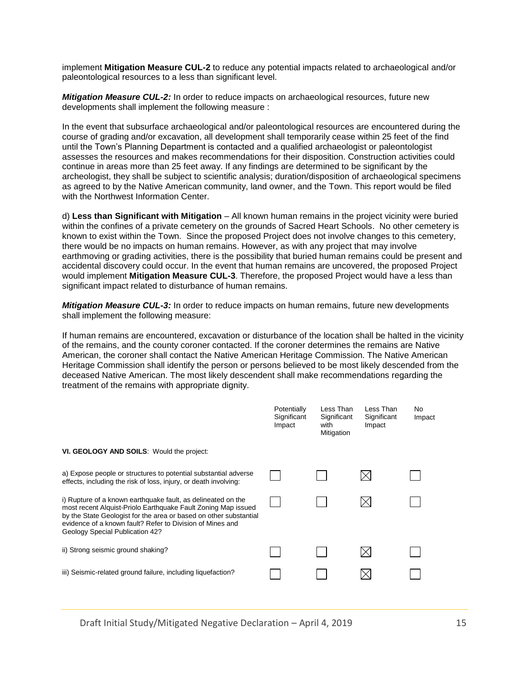implement **Mitigation Measure CUL-2** to reduce any potential impacts related to archaeological and/or paleontological resources to a less than significant level.

*Mitigation Measure CUL-2:* In order to reduce impacts on archaeological resources, future new developments shall implement the following measure :

In the event that subsurface archaeological and/or paleontological resources are encountered during the course of grading and/or excavation, all development shall temporarily cease within 25 feet of the find until the Town's Planning Department is contacted and a qualified archaeologist or paleontologist assesses the resources and makes recommendations for their disposition. Construction activities could continue in areas more than 25 feet away. If any findings are determined to be significant by the archeologist, they shall be subject to scientific analysis; duration/disposition of archaeological specimens as agreed to by the Native American community, land owner, and the Town. This report would be filed with the Northwest Information Center.

d) **Less than Significant with Mitigation** – All known human remains in the project vicinity were buried within the confines of a private cemetery on the grounds of Sacred Heart Schools. No other cemetery is known to exist within the Town. Since the proposed Project does not involve changes to this cemetery, there would be no impacts on human remains. However, as with any project that may involve earthmoving or grading activities, there is the possibility that buried human remains could be present and accidental discovery could occur. In the event that human remains are uncovered, the proposed Project would implement **Mitigation Measure CUL-3**. Therefore, the proposed Project would have a less than significant impact related to disturbance of human remains.

*Mitigation Measure CUL-3:* In order to reduce impacts on human remains, future new developments shall implement the following measure:

If human remains are encountered, excavation or disturbance of the location shall be halted in the vicinity of the remains, and the county coroner contacted. If the coroner determines the remains are Native American, the coroner shall contact the Native American Heritage Commission. The Native American Heritage Commission shall identify the person or persons believed to be most likely descended from the deceased Native American. The most likely descendent shall make recommendations regarding the treatment of the remains with appropriate dignity.

|                                                                                                                                                                                                                                                                                                    | Potentially<br>Significant<br>Impact | Less Than<br>Significant<br>with<br>Mitigation | Less Than<br>Significant<br>Impact | No<br>Impact |
|----------------------------------------------------------------------------------------------------------------------------------------------------------------------------------------------------------------------------------------------------------------------------------------------------|--------------------------------------|------------------------------------------------|------------------------------------|--------------|
| VI. GEOLOGY AND SOILS: Would the project:                                                                                                                                                                                                                                                          |                                      |                                                |                                    |              |
| a) Expose people or structures to potential substantial adverse<br>effects, including the risk of loss, injury, or death involving:                                                                                                                                                                |                                      |                                                | IХI                                |              |
| i) Rupture of a known earthquake fault, as delineated on the<br>most recent Alquist-Priolo Earthquake Fault Zoning Map issued<br>by the State Geologist for the area or based on other substantial<br>evidence of a known fault? Refer to Division of Mines and<br>Geology Special Publication 42? |                                      |                                                |                                    |              |
| ii) Strong seismic ground shaking?                                                                                                                                                                                                                                                                 |                                      |                                                |                                    |              |
| iii) Seismic-related ground failure, including liquefaction?                                                                                                                                                                                                                                       |                                      |                                                |                                    |              |

Draft Initial Study/Mitigated Negative Declaration – April 4, 2019 15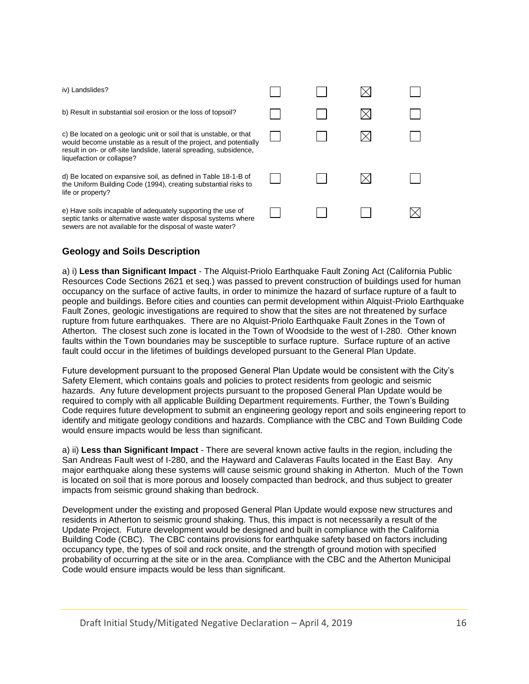| iv) Landslides?                                                                                                                                                                                                                             |  |  |
|---------------------------------------------------------------------------------------------------------------------------------------------------------------------------------------------------------------------------------------------|--|--|
| b) Result in substantial soil erosion or the loss of topsoil?                                                                                                                                                                               |  |  |
| c) Be located on a geologic unit or soil that is unstable, or that<br>would become unstable as a result of the project, and potentially<br>result in on- or off-site landslide, lateral spreading, subsidence,<br>liquefaction or collapse? |  |  |
| d) Be located on expansive soil, as defined in Table 18-1-B of<br>the Uniform Building Code (1994), creating substantial risks to<br>life or property?                                                                                      |  |  |
| e) Have soils incapable of adequately supporting the use of<br>septic tanks or alternative waste water disposal systems where<br>sewers are not available for the disposal of waste water?                                                  |  |  |

# **Geology and Soils Description**

a) i) **Less than Significant Impact** - The Alquist-Priolo Earthquake Fault Zoning Act (California Public Resources Code Sections 2621 et seq.) was passed to prevent construction of buildings used for human occupancy on the surface of active faults, in order to minimize the hazard of surface rupture of a fault to people and buildings. Before cities and counties can permit development within Alquist-Priolo Earthquake Fault Zones, geologic investigations are required to show that the sites are not threatened by surface rupture from future earthquakes. There are no Alquist-Priolo Earthquake Fault Zones in the Town of Atherton. The closest such zone is located in the Town of Woodside to the west of I-280. Other known faults within the Town boundaries may be susceptible to surface rupture. Surface rupture of an active fault could occur in the lifetimes of buildings developed pursuant to the General Plan Update.

Future development pursuant to the proposed General Plan Update would be consistent with the City's Safety Element, which contains goals and policies to protect residents from geologic and seismic hazards. Any future development projects pursuant to the proposed General Plan Update would be required to comply with all applicable Building Department requirements. Further, the Town's Building Code requires future development to submit an engineering geology report and soils engineering report to identify and mitigate geology conditions and hazards. Compliance with the CBC and Town Building Code would ensure impacts would be less than significant.

a) ii) **Less than Significant Impact** - There are several known active faults in the region, including the San Andreas Fault west of I-280, and the Hayward and Calaveras Faults located in the East Bay. Any major earthquake along these systems will cause seismic ground shaking in Atherton. Much of the Town is located on soil that is more porous and loosely compacted than bedrock, and thus subject to greater impacts from seismic ground shaking than bedrock.

Development under the existing and proposed General Plan Update would expose new structures and residents in Atherton to seismic ground shaking. Thus, this impact is not necessarily a result of the Update Project. Future development would be designed and built in compliance with the California Building Code (CBC). The CBC contains provisions for earthquake safety based on factors including occupancy type, the types of soil and rock onsite, and the strength of ground motion with specified probability of occurring at the site or in the area. Compliance with the CBC and the Atherton Municipal Code would ensure impacts would be less than significant.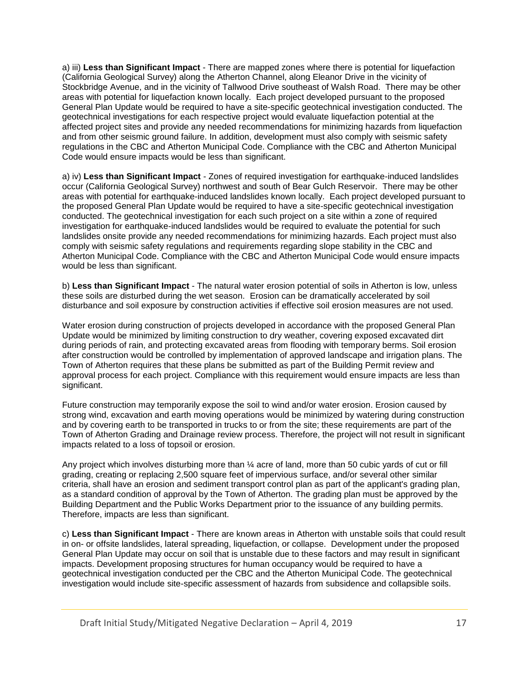a) iii) **Less than Significant Impact** - There are mapped zones where there is potential for liquefaction (California Geological Survey) along the Atherton Channel, along Eleanor Drive in the vicinity of Stockbridge Avenue, and in the vicinity of Tallwood Drive southeast of Walsh Road. There may be other areas with potential for liquefaction known locally. Each project developed pursuant to the proposed General Plan Update would be required to have a site-specific geotechnical investigation conducted. The geotechnical investigations for each respective project would evaluate liquefaction potential at the affected project sites and provide any needed recommendations for minimizing hazards from liquefaction and from other seismic ground failure. In addition, development must also comply with seismic safety regulations in the CBC and Atherton Municipal Code. Compliance with the CBC and Atherton Municipal Code would ensure impacts would be less than significant.

a) iv) **Less than Significant Impact** - Zones of required investigation for earthquake-induced landslides occur (California Geological Survey) northwest and south of Bear Gulch Reservoir. There may be other areas with potential for earthquake-induced landslides known locally. Each project developed pursuant to the proposed General Plan Update would be required to have a site-specific geotechnical investigation conducted. The geotechnical investigation for each such project on a site within a zone of required investigation for earthquake-induced landslides would be required to evaluate the potential for such landslides onsite provide any needed recommendations for minimizing hazards. Each project must also comply with seismic safety regulations and requirements regarding slope stability in the CBC and Atherton Municipal Code. Compliance with the CBC and Atherton Municipal Code would ensure impacts would be less than significant.

b) **Less than Significant Impact** - The natural water erosion potential of soils in Atherton is low, unless these soils are disturbed during the wet season. Erosion can be dramatically accelerated by soil disturbance and soil exposure by construction activities if effective soil erosion measures are not used.

Water erosion during construction of projects developed in accordance with the proposed General Plan Update would be minimized by limiting construction to dry weather, covering exposed excavated dirt during periods of rain, and protecting excavated areas from flooding with temporary berms. Soil erosion after construction would be controlled by implementation of approved landscape and irrigation plans. The Town of Atherton requires that these plans be submitted as part of the Building Permit review and approval process for each project. Compliance with this requirement would ensure impacts are less than significant.

Future construction may temporarily expose the soil to wind and/or water erosion. Erosion caused by strong wind, excavation and earth moving operations would be minimized by watering during construction and by covering earth to be transported in trucks to or from the site; these requirements are part of the Town of Atherton Grading and Drainage review process. Therefore, the project will not result in significant impacts related to a loss of topsoil or erosion.

Any project which involves disturbing more than  $\frac{1}{4}$  acre of land, more than 50 cubic yards of cut or fill grading, creating or replacing 2,500 square feet of impervious surface, and/or several other similar criteria, shall have an erosion and sediment transport control plan as part of the applicant's grading plan, as a standard condition of approval by the Town of Atherton. The grading plan must be approved by the Building Department and the Public Works Department prior to the issuance of any building permits. Therefore, impacts are less than significant.

c) **Less than Significant Impact** - There are known areas in Atherton with unstable soils that could result in on- or offsite landslides, lateral spreading, liquefaction, or collapse. Development under the proposed General Plan Update may occur on soil that is unstable due to these factors and may result in significant impacts. Development proposing structures for human occupancy would be required to have a geotechnical investigation conducted per the CBC and the Atherton Municipal Code. The geotechnical investigation would include site-specific assessment of hazards from subsidence and collapsible soils.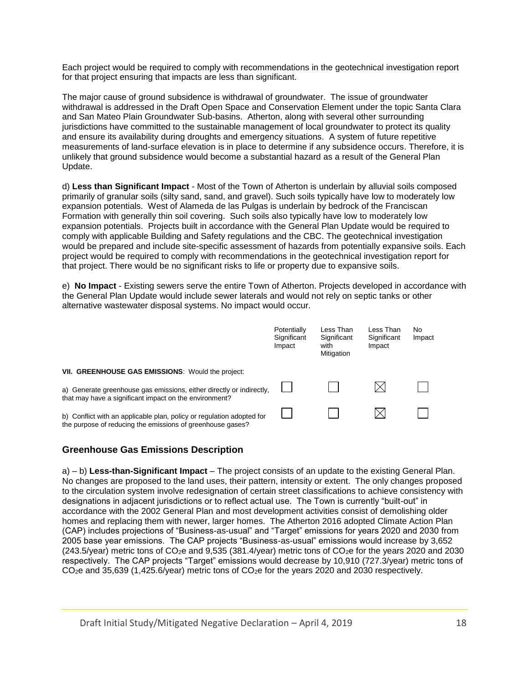Each project would be required to comply with recommendations in the geotechnical investigation report for that project ensuring that impacts are less than significant.

The major cause of ground subsidence is withdrawal of groundwater. The issue of groundwater withdrawal is addressed in the Draft Open Space and Conservation Element under the topic Santa Clara and San Mateo Plain Groundwater Sub-basins. Atherton, along with several other surrounding jurisdictions have committed to the sustainable management of local groundwater to protect its quality and ensure its availability during droughts and emergency situations. A system of future repetitive measurements of land-surface elevation is in place to determine if any subsidence occurs. Therefore, it is unlikely that ground subsidence would become a substantial hazard as a result of the General Plan Update.

d) **Less than Significant Impact** - Most of the Town of Atherton is underlain by alluvial soils composed primarily of granular soils (silty sand, sand, and gravel). Such soils typically have low to moderately low expansion potentials. West of Alameda de las Pulgas is underlain by bedrock of the Franciscan Formation with generally thin soil covering. Such soils also typically have low to moderately low expansion potentials. Projects built in accordance with the General Plan Update would be required to comply with applicable Building and Safety regulations and the CBC. The geotechnical investigation would be prepared and include site-specific assessment of hazards from potentially expansive soils. Each project would be required to comply with recommendations in the geotechnical investigation report for that project. There would be no significant risks to life or property due to expansive soils.

e) **No Impact** - Existing sewers serve the entire Town of Atherton. Projects developed in accordance with the General Plan Update would include sewer laterals and would not rely on septic tanks or other alternative wastewater disposal systems. No impact would occur.

|                                                                                                                                     | Potentially<br>Significant<br>Impact | Less Than<br>Significant<br>with<br>Mitigation | Less Than<br>Significant<br>Impact | No<br>Impact |
|-------------------------------------------------------------------------------------------------------------------------------------|--------------------------------------|------------------------------------------------|------------------------------------|--------------|
| VII. GREENHOUSE GAS EMISSIONS: Would the project:                                                                                   |                                      |                                                |                                    |              |
| a) Generate greenhouse gas emissions, either directly or indirectly,<br>that may have a significant impact on the environment?      |                                      |                                                |                                    |              |
| b) Conflict with an applicable plan, policy or regulation adopted for<br>the purpose of reducing the emissions of greenhouse gases? |                                      |                                                |                                    |              |

#### **Greenhouse Gas Emissions Description**

a) – b) **Less-than-Significant Impact** – The project consists of an update to the existing General Plan. No changes are proposed to the land uses, their pattern, intensity or extent. The only changes proposed to the circulation system involve redesignation of certain street classifications to achieve consistency with designations in adjacent jurisdictions or to reflect actual use. The Town is currently "built-out" in accordance with the 2002 General Plan and most development activities consist of demolishing older homes and replacing them with newer, larger homes. The Atherton 2016 adopted Climate Action Plan (CAP) includes projections of "Business-as-usual" and "Target" emissions for years 2020 and 2030 from 2005 base year emissions. The CAP projects "Business-as-usual" emissions would increase by 3,652  $(243.5/\text{year})$  metric tons of  $CO<sub>2</sub>e$  and  $9,535$   $(381.4/\text{year})$  metric tons of  $CO<sub>2</sub>e$  for the years 2020 and 2030 respectively. The CAP projects "Target" emissions would decrease by 10,910 (727.3/year) metric tons of CO<sub>2</sub>e and 35,639 (1,425.6/year) metric tons of CO<sub>2</sub>e for the years 2020 and 2030 respectively.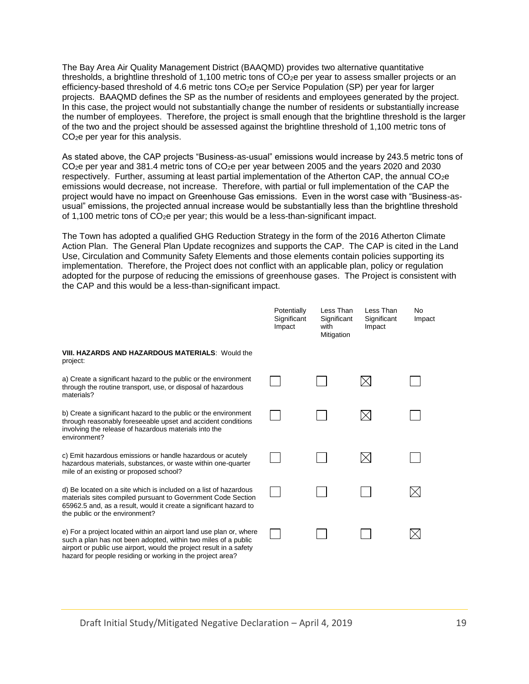The Bay Area Air Quality Management District (BAAQMD) provides two alternative quantitative thresholds, a brightline threshold of 1,100 metric tons of  $CO<sub>2</sub>e$  per year to assess smaller projects or an efficiency-based threshold of 4.6 metric tons CO2e per Service Population (SP) per year for larger projects. BAAQMD defines the SP as the number of residents and employees generated by the project. In this case, the project would not substantially change the number of residents or substantially increase the number of employees. Therefore, the project is small enough that the brightline threshold is the larger of the two and the project should be assessed against the brightline threshold of 1,100 metric tons of CO2e per year for this analysis.

As stated above, the CAP projects "Business-as-usual" emissions would increase by 243.5 metric tons of CO2e per year and 381.4 metric tons of CO2e per year between 2005 and the years 2020 and 2030 respectively. Further, assuming at least partial implementation of the Atherton CAP, the annual CO<sub>2</sub>e emissions would decrease, not increase. Therefore, with partial or full implementation of the CAP the project would have no impact on Greenhouse Gas emissions. Even in the worst case with "Business-asusual" emissions, the projected annual increase would be substantially less than the brightline threshold of 1,100 metric tons of CO2e per year; this would be a less-than-significant impact.

The Town has adopted a qualified GHG Reduction Strategy in the form of the 2016 Atherton Climate Action Plan. The General Plan Update recognizes and supports the CAP. The CAP is cited in the Land Use, Circulation and Community Safety Elements and those elements contain policies supporting its implementation. Therefore, the Project does not conflict with an applicable plan, policy or regulation adopted for the purpose of reducing the emissions of greenhouse gases. The Project is consistent with the CAP and this would be a less-than-significant impact.

|                                                                                                                                                                                                                                                                           | Potentially<br>Significant<br>Impact | Less Than<br>Significant<br>with<br>Mitigation | Less Than<br>Significant<br>Impact | No.<br>Impact |
|---------------------------------------------------------------------------------------------------------------------------------------------------------------------------------------------------------------------------------------------------------------------------|--------------------------------------|------------------------------------------------|------------------------------------|---------------|
| <b>VIII. HAZARDS AND HAZARDOUS MATERIALS: Would the</b><br>project:                                                                                                                                                                                                       |                                      |                                                |                                    |               |
| a) Create a significant hazard to the public or the environment<br>through the routine transport, use, or disposal of hazardous<br>materials?                                                                                                                             |                                      |                                                |                                    |               |
| b) Create a significant hazard to the public or the environment<br>through reasonably foreseeable upset and accident conditions<br>involving the release of hazardous materials into the<br>environment?                                                                  |                                      |                                                |                                    |               |
| c) Emit hazardous emissions or handle hazardous or acutely<br>hazardous materials, substances, or waste within one-quarter<br>mile of an existing or proposed school?                                                                                                     |                                      |                                                |                                    |               |
| d) Be located on a site which is included on a list of hazardous<br>materials sites compiled pursuant to Government Code Section<br>65962.5 and, as a result, would it create a significant hazard to<br>the public or the environment?                                   |                                      |                                                |                                    |               |
| e) For a project located within an airport land use plan or, where<br>such a plan has not been adopted, within two miles of a public<br>airport or public use airport, would the project result in a safety<br>hazard for people residing or working in the project area? |                                      |                                                |                                    |               |

Draft Initial Study/Mitigated Negative Declaration – April 4, 2019 19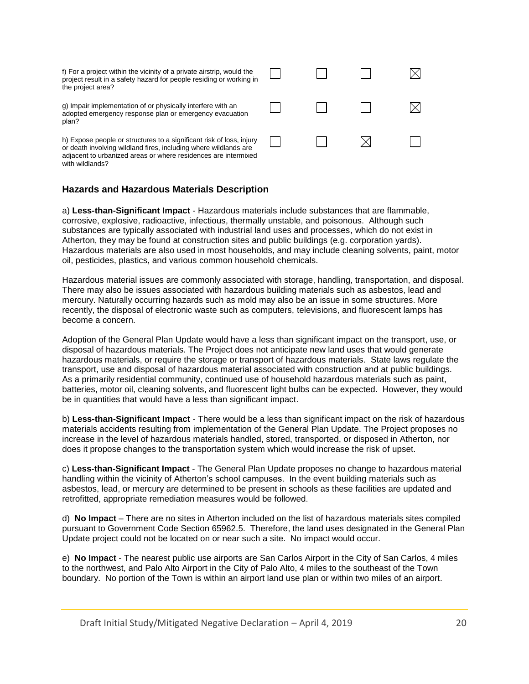| f) For a project within the vicinity of a private airstrip, would the<br>project result in a safety hazard for people residing or working in<br>the project area?                                          |  |  |
|------------------------------------------------------------------------------------------------------------------------------------------------------------------------------------------------------------|--|--|
| g) Impair implementation of or physically interfere with an<br>adopted emergency response plan or emergency evacuation<br>plan?                                                                            |  |  |
| h) Expose people or structures to a significant risk of loss, injury<br>or death involving wildland fires, including where wildlands are<br>adjacent to urbanized areas or where residences are intermixed |  |  |

## **Hazards and Hazardous Materials Description**

with wildlands?

a) **Less-than-Significant Impact** - Hazardous materials include substances that are flammable, corrosive, explosive, radioactive, infectious, thermally unstable, and poisonous. Although such substances are typically associated with industrial land uses and processes, which do not exist in Atherton, they may be found at construction sites and public buildings (e.g. corporation yards). Hazardous materials are also used in most households, and may include cleaning solvents, paint, motor oil, pesticides, plastics, and various common household chemicals.

Hazardous material issues are commonly associated with storage, handling, transportation, and disposal. There may also be issues associated with hazardous building materials such as asbestos, lead and mercury. Naturally occurring hazards such as mold may also be an issue in some structures. More recently, the disposal of electronic waste such as computers, televisions, and fluorescent lamps has become a concern.

Adoption of the General Plan Update would have a less than significant impact on the transport, use, or disposal of hazardous materials. The Project does not anticipate new land uses that would generate hazardous materials, or require the storage or transport of hazardous materials. State laws regulate the transport, use and disposal of hazardous material associated with construction and at public buildings. As a primarily residential community, continued use of household hazardous materials such as paint, batteries, motor oil, cleaning solvents, and fluorescent light bulbs can be expected. However, they would be in quantities that would have a less than significant impact.

b) **Less-than-Significant Impact** - There would be a less than significant impact on the risk of hazardous materials accidents resulting from implementation of the General Plan Update. The Project proposes no increase in the level of hazardous materials handled, stored, transported, or disposed in Atherton, nor does it propose changes to the transportation system which would increase the risk of upset.

c) **Less-than-Significant Impact** - The General Plan Update proposes no change to hazardous material handling within the vicinity of Atherton's school campuses. In the event building materials such as asbestos, lead, or mercury are determined to be present in schools as these facilities are updated and retrofitted, appropriate remediation measures would be followed.

d) **No Impact** – There are no sites in Atherton included on the list of hazardous materials sites compiled pursuant to Government Code Section 65962.5. Therefore, the land uses designated in the General Plan Update project could not be located on or near such a site. No impact would occur.

e) **No Impact** - The nearest public use airports are San Carlos Airport in the City of San Carlos, 4 miles to the northwest, and Palo Alto Airport in the City of Palo Alto, 4 miles to the southeast of the Town boundary. No portion of the Town is within an airport land use plan or within two miles of an airport.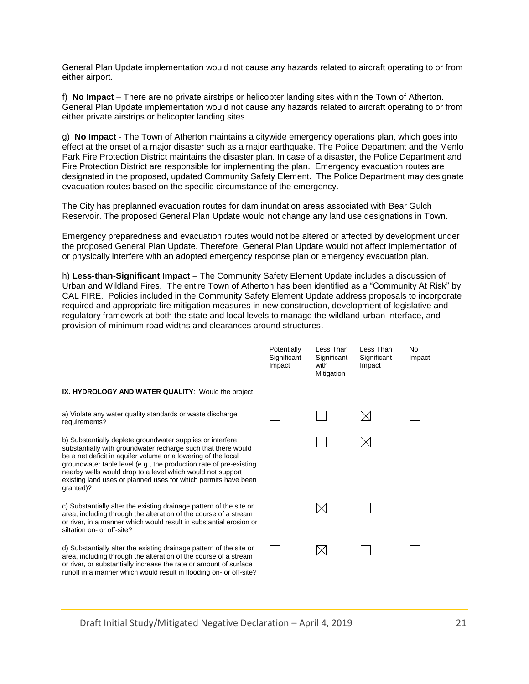General Plan Update implementation would not cause any hazards related to aircraft operating to or from either airport.

f) **No Impact** – There are no private airstrips or helicopter landing sites within the Town of Atherton. General Plan Update implementation would not cause any hazards related to aircraft operating to or from either private airstrips or helicopter landing sites.

g) **No Impact** - The Town of Atherton maintains a citywide emergency operations plan, which goes into effect at the onset of a major disaster such as a major earthquake. The Police Department and the Menlo Park Fire Protection District maintains the disaster plan. In case of a disaster, the Police Department and Fire Protection District are responsible for implementing the plan. Emergency evacuation routes are designated in the proposed, updated Community Safety Element. The Police Department may designate evacuation routes based on the specific circumstance of the emergency.

The City has preplanned evacuation routes for dam inundation areas associated with Bear Gulch Reservoir. The proposed General Plan Update would not change any land use designations in Town.

Emergency preparedness and evacuation routes would not be altered or affected by development under the proposed General Plan Update. Therefore, General Plan Update would not affect implementation of or physically interfere with an adopted emergency response plan or emergency evacuation plan.

h) **Less-than-Significant Impact** – The Community Safety Element Update includes a discussion of Urban and Wildland Fires. The entire Town of Atherton has been identified as a "Community At Risk" by CAL FIRE. Policies included in the Community Safety Element Update address proposals to incorporate required and appropriate fire mitigation measures in new construction, development of legislative and regulatory framework at both the state and local levels to manage the wildland-urban-interface, and provision of minimum road widths and clearances around structures.

|                                                                                                                                                                                                                                                                                                                                                                                                                 | Potentially<br>Significant<br>Impact | Less Than<br>Significant<br>with<br>Mitigation | Less Than<br>Significant<br>Impact | N <sub>o</sub><br>Impact |
|-----------------------------------------------------------------------------------------------------------------------------------------------------------------------------------------------------------------------------------------------------------------------------------------------------------------------------------------------------------------------------------------------------------------|--------------------------------------|------------------------------------------------|------------------------------------|--------------------------|
| IX. HYDROLOGY AND WATER QUALITY: Would the project:                                                                                                                                                                                                                                                                                                                                                             |                                      |                                                |                                    |                          |
| a) Violate any water quality standards or waste discharge<br>requirements?                                                                                                                                                                                                                                                                                                                                      |                                      |                                                |                                    |                          |
| b) Substantially deplete groundwater supplies or interfere<br>substantially with groundwater recharge such that there would<br>be a net deficit in aquifer volume or a lowering of the local<br>groundwater table level (e.g., the production rate of pre-existing<br>nearby wells would drop to a level which would not support<br>existing land uses or planned uses for which permits have been<br>granted)? |                                      |                                                |                                    |                          |
| c) Substantially alter the existing drainage pattern of the site or<br>area, including through the alteration of the course of a stream<br>or river, in a manner which would result in substantial erosion or<br>siltation on- or off-site?                                                                                                                                                                     |                                      |                                                |                                    |                          |
| d) Substantially alter the existing drainage pattern of the site or<br>area, including through the alteration of the course of a stream<br>or river, or substantially increase the rate or amount of surface<br>runoff in a manner which would result in flooding on- or off-site?                                                                                                                              |                                      |                                                |                                    |                          |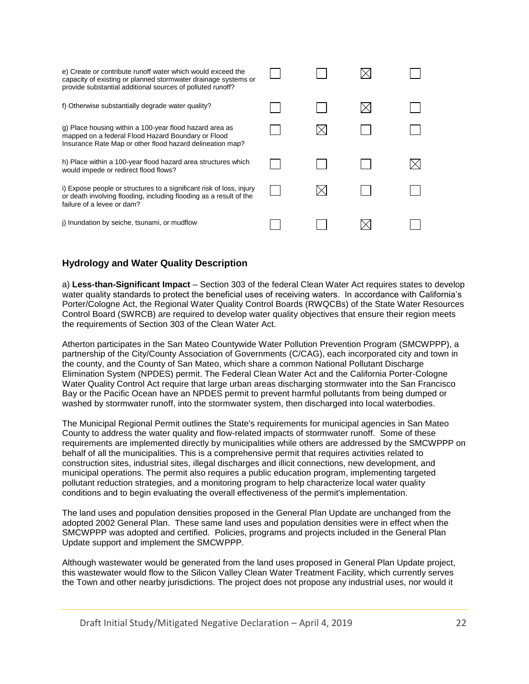| e) Create or contribute runoff water which would exceed the<br>capacity of existing or planned stormwater drainage systems or<br>provide substantial additional sources of polluted runoff? |  |  |
|---------------------------------------------------------------------------------------------------------------------------------------------------------------------------------------------|--|--|
| f) Otherwise substantially degrade water quality?                                                                                                                                           |  |  |
| g) Place housing within a 100-year flood hazard area as<br>mapped on a federal Flood Hazard Boundary or Flood<br>Insurance Rate Map or other flood hazard delineation map?                  |  |  |
| h) Place within a 100-year flood hazard area structures which<br>would impede or redirect flood flows?                                                                                      |  |  |
| i) Expose people or structures to a significant risk of loss, injury<br>or death involving flooding, including flooding as a result of the<br>failure of a levee or dam?                    |  |  |
| j) Inundation by seiche, tsunami, or mudflow                                                                                                                                                |  |  |

## **Hydrology and Water Quality Description**

a) **Less-than-Significant Impact** – Section 303 of the federal Clean Water Act requires states to develop water quality standards to protect the beneficial uses of receiving waters. In accordance with California's Porter/Cologne Act, the Regional Water Quality Control Boards (RWQCBs) of the State Water Resources Control Board (SWRCB) are required to develop water quality objectives that ensure their region meets the requirements of Section 303 of the Clean Water Act.

Atherton participates in the San Mateo Countywide Water Pollution Prevention Program (SMCWPPP), a partnership of the City/County Association of Governments (C/CAG), each incorporated city and town in the county, and the County of San Mateo, which share a common National Pollutant Discharge Elimination System (NPDES) permit. The Federal Clean Water Act and the California Porter-Cologne Water Quality Control Act require that large urban areas discharging stormwater into the San Francisco Bay or the Pacific Ocean have an NPDES permit to prevent harmful pollutants from being dumped or washed by stormwater runoff, into the stormwater system, then discharged into local waterbodies.

The Municipal Regional Permit outlines the State's requirements for municipal agencies in San Mateo County to address the water quality and flow-related impacts of stormwater runoff. Some of these requirements are implemented directly by municipalities while others are addressed by the SMCWPPP on behalf of all the municipalities. This is a comprehensive permit that requires activities related to construction sites, industrial sites, illegal discharges and illicit connections, new development, and municipal operations. The permit also requires a public education program, implementing targeted pollutant reduction strategies, and a monitoring program to help characterize local water quality conditions and to begin evaluating the overall effectiveness of the permit's implementation.

The land uses and population densities proposed in the General Plan Update are unchanged from the adopted 2002 General Plan. These same land uses and population densities were in effect when the SMCWPPP was adopted and certified. Policies, programs and projects included in the General Plan Update support and implement the SMCWPPP.

Although wastewater would be generated from the land uses proposed in General Plan Update project, this wastewater would flow to the Silicon Valley Clean Water Treatment Facility, which currently serves the Town and other nearby jurisdictions. The project does not propose any industrial uses, nor would it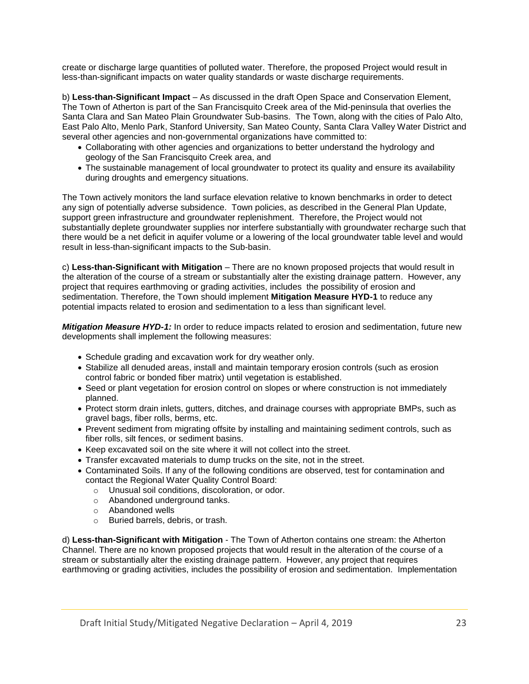create or discharge large quantities of polluted water. Therefore, the proposed Project would result in less-than-significant impacts on water quality standards or waste discharge requirements.

b) **Less-than-Significant Impact** – As discussed in the draft Open Space and Conservation Element, The Town of Atherton is part of the San Francisquito Creek area of the Mid-peninsula that overlies the Santa Clara and San Mateo Plain Groundwater Sub-basins. The Town, along with the cities of Palo Alto, East Palo Alto, Menlo Park, Stanford University, San Mateo County, Santa Clara Valley Water District and several other agencies and non-governmental organizations have committed to:

- Collaborating with other agencies and organizations to better understand the hydrology and geology of the San Francisquito Creek area, and
- The sustainable management of local groundwater to protect its quality and ensure its availability during droughts and emergency situations.

The Town actively monitors the land surface elevation relative to known benchmarks in order to detect any sign of potentially adverse subsidence. Town policies, as described in the General Plan Update, support green infrastructure and groundwater replenishment. Therefore, the Project would not substantially deplete groundwater supplies nor interfere substantially with groundwater recharge such that there would be a net deficit in aquifer volume or a lowering of the local groundwater table level and would result in less-than-significant impacts to the Sub-basin.

c) **Less-than-Significant with Mitigation** – There are no known proposed projects that would result in the alteration of the course of a stream or substantially alter the existing drainage pattern. However, any project that requires earthmoving or grading activities, includes the possibility of erosion and sedimentation. Therefore, the Town should implement **Mitigation Measure HYD-1** to reduce any potential impacts related to erosion and sedimentation to a less than significant level.

*Mitigation Measure HYD-1:* In order to reduce impacts related to erosion and sedimentation, future new developments shall implement the following measures:

- Schedule grading and excavation work for dry weather only.
- Stabilize all denuded areas, install and maintain temporary erosion controls (such as erosion control fabric or bonded fiber matrix) until vegetation is established.
- Seed or plant vegetation for erosion control on slopes or where construction is not immediately planned.
- Protect storm drain inlets, gutters, ditches, and drainage courses with appropriate BMPs, such as gravel bags, fiber rolls, berms, etc.
- Prevent sediment from migrating offsite by installing and maintaining sediment controls, such as fiber rolls, silt fences, or sediment basins.
- Keep excavated soil on the site where it will not collect into the street.
- Transfer excavated materials to dump trucks on the site, not in the street.
- Contaminated Soils. If any of the following conditions are observed, test for contamination and contact the Regional Water Quality Control Board:
	- o Unusual soil conditions, discoloration, or odor.
	- o Abandoned underground tanks.
	- o Abandoned wells
	- o Buried barrels, debris, or trash.

d) **Less-than-Significant with Mitigation** - The Town of Atherton contains one stream: the Atherton Channel. There are no known proposed projects that would result in the alteration of the course of a stream or substantially alter the existing drainage pattern. However, any project that requires earthmoving or grading activities, includes the possibility of erosion and sedimentation. Implementation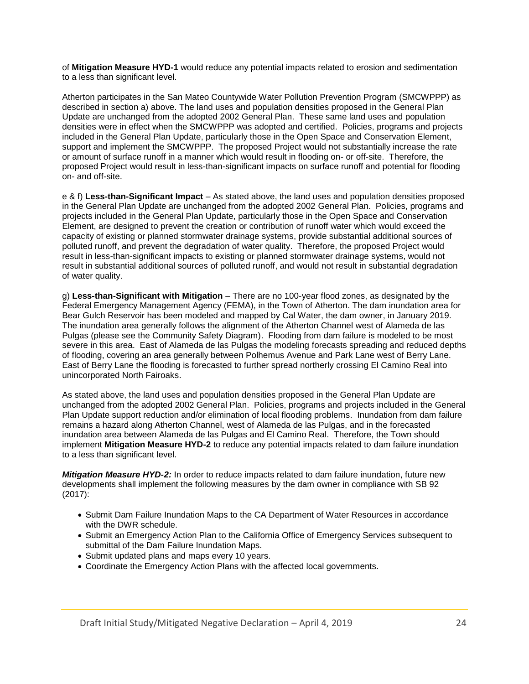of **Mitigation Measure HYD-1** would reduce any potential impacts related to erosion and sedimentation to a less than significant level.

Atherton participates in the San Mateo Countywide Water Pollution Prevention Program (SMCWPPP) as described in section a) above. The land uses and population densities proposed in the General Plan Update are unchanged from the adopted 2002 General Plan. These same land uses and population densities were in effect when the SMCWPPP was adopted and certified. Policies, programs and projects included in the General Plan Update, particularly those in the Open Space and Conservation Element, support and implement the SMCWPPP. The proposed Project would not substantially increase the rate or amount of surface runoff in a manner which would result in flooding on- or off-site. Therefore, the proposed Project would result in less-than-significant impacts on surface runoff and potential for flooding on- and off-site.

e & f) **Less-than-Significant Impact** – As stated above, the land uses and population densities proposed in the General Plan Update are unchanged from the adopted 2002 General Plan. Policies, programs and projects included in the General Plan Update, particularly those in the Open Space and Conservation Element, are designed to prevent the creation or contribution of runoff water which would exceed the capacity of existing or planned stormwater drainage systems, provide substantial additional sources of polluted runoff, and prevent the degradation of water quality. Therefore, the proposed Project would result in less-than-significant impacts to existing or planned stormwater drainage systems, would not result in substantial additional sources of polluted runoff, and would not result in substantial degradation of water quality.

g) **Less-than-Significant with Mitigation** – There are no 100-year flood zones, as designated by the Federal Emergency Management Agency (FEMA), in the Town of Atherton. The dam inundation area for Bear Gulch Reservoir has been modeled and mapped by Cal Water, the dam owner, in January 2019. The inundation area generally follows the alignment of the Atherton Channel west of Alameda de las Pulgas (please see the Community Safety Diagram). Flooding from dam failure is modeled to be most severe in this area. East of Alameda de las Pulgas the modeling forecasts spreading and reduced depths of flooding, covering an area generally between Polhemus Avenue and Park Lane west of Berry Lane. East of Berry Lane the flooding is forecasted to further spread northerly crossing El Camino Real into unincorporated North Fairoaks.

As stated above, the land uses and population densities proposed in the General Plan Update are unchanged from the adopted 2002 General Plan. Policies, programs and projects included in the General Plan Update support reduction and/or elimination of local flooding problems. Inundation from dam failure remains a hazard along Atherton Channel, west of Alameda de las Pulgas, and in the forecasted inundation area between Alameda de las Pulgas and El Camino Real. Therefore, the Town should implement **Mitigation Measure HYD-2** to reduce any potential impacts related to dam failure inundation to a less than significant level.

*Mitigation Measure HYD-2:* In order to reduce impacts related to dam failure inundation, future new developments shall implement the following measures by the dam owner in compliance with SB 92 (2017):

- Submit Dam Failure Inundation Maps to the CA Department of Water Resources in accordance with the DWR schedule.
- Submit an Emergency Action Plan to the California Office of Emergency Services subsequent to submittal of the Dam Failure Inundation Maps.
- Submit updated plans and maps every 10 years.
- Coordinate the Emergency Action Plans with the affected local governments.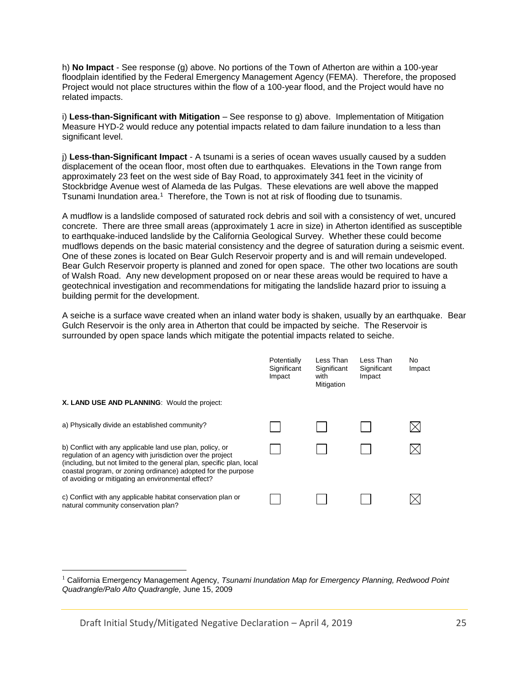h) **No Impact** - See response (g) above. No portions of the Town of Atherton are within a 100-year floodplain identified by the Federal Emergency Management Agency (FEMA). Therefore, the proposed Project would not place structures within the flow of a 100-year flood, and the Project would have no related impacts.

i) **Less-than-Significant with Mitigation** – See response to g) above. Implementation of Mitigation Measure HYD-2 would reduce any potential impacts related to dam failure inundation to a less than significant level.

j) **Less-than-Significant Impact** - A tsunami is a series of ocean waves usually caused by a sudden displacement of the ocean floor, most often due to earthquakes. Elevations in the Town range from approximately 23 feet on the west side of Bay Road, to approximately 341 feet in the vicinity of Stockbridge Avenue west of Alameda de las Pulgas. These elevations are well above the mapped Tsunami Inundation area.<sup>1</sup> Therefore, the Town is not at risk of flooding due to tsunamis.

A mudflow is a landslide composed of saturated rock debris and soil with a consistency of wet, uncured concrete. There are three small areas (approximately 1 acre in size) in Atherton identified as susceptible to earthquake-induced landslide by the California Geological Survey. Whether these could become mudflows depends on the basic material consistency and the degree of saturation during a seismic event. One of these zones is located on Bear Gulch Reservoir property and is and will remain undeveloped. Bear Gulch Reservoir property is planned and zoned for open space. The other two locations are south of Walsh Road. Any new development proposed on or near these areas would be required to have a geotechnical investigation and recommendations for mitigating the landslide hazard prior to issuing a building permit for the development.

A seiche is a surface wave created when an inland water body is shaken, usually by an earthquake. Bear Gulch Reservoir is the only area in Atherton that could be impacted by seiche. The Reservoir is surrounded by open space lands which mitigate the potential impacts related to seiche.

|                                                                                                                                                                                                                                                                                                                         | Potentially<br>Significant<br>Impact | Less Than<br>Significant<br>with<br>Mitigation | Less Than<br>Significant<br>Impact | No<br>Impact |
|-------------------------------------------------------------------------------------------------------------------------------------------------------------------------------------------------------------------------------------------------------------------------------------------------------------------------|--------------------------------------|------------------------------------------------|------------------------------------|--------------|
| X. LAND USE AND PLANNING: Would the project:                                                                                                                                                                                                                                                                            |                                      |                                                |                                    |              |
| a) Physically divide an established community?                                                                                                                                                                                                                                                                          |                                      |                                                |                                    |              |
| b) Conflict with any applicable land use plan, policy, or<br>regulation of an agency with jurisdiction over the project<br>(including, but not limited to the general plan, specific plan, local<br>coastal program, or zoning ordinance) adopted for the purpose<br>of avoiding or mitigating an environmental effect? |                                      |                                                |                                    |              |
| c) Conflict with any applicable habitat conservation plan or<br>natural community conservation plan?                                                                                                                                                                                                                    |                                      |                                                |                                    |              |

<sup>1</sup> California Emergency Management Agency, *Tsunami Inundation Map for Emergency Planning, Redwood Point Quadrangle/Palo Alto Quadrangle,* June 15, 2009

Draft Initial Study/Mitigated Negative Declaration – April 4, 2019 25

 $\overline{a}$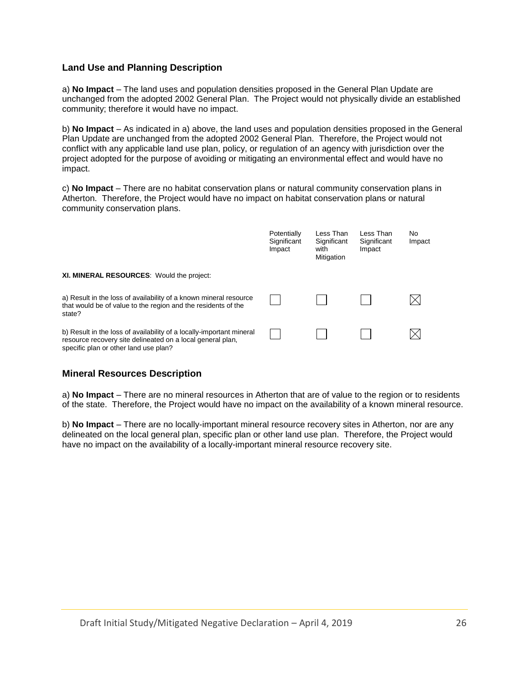## **Land Use and Planning Description**

a) **No Impact** – The land uses and population densities proposed in the General Plan Update are unchanged from the adopted 2002 General Plan. The Project would not physically divide an established community; therefore it would have no impact.

b) **No Impact** – As indicated in a) above, the land uses and population densities proposed in the General Plan Update are unchanged from the adopted 2002 General Plan. Therefore, the Project would not conflict with any applicable land use plan, policy, or regulation of an agency with jurisdiction over the project adopted for the purpose of avoiding or mitigating an environmental effect and would have no impact.

c) **No Impact** – There are no habitat conservation plans or natural community conservation plans in Atherton. Therefore, the Project would have no impact on habitat conservation plans or natural community conservation plans.

|                                                                                                                                                                             | Potentially<br>Significant<br>Impact | Less Than<br>Significant<br>with<br>Mitigation | Less Than<br>Significant<br>Impact | No<br>Impact |
|-----------------------------------------------------------------------------------------------------------------------------------------------------------------------------|--------------------------------------|------------------------------------------------|------------------------------------|--------------|
| <b>XI. MINERAL RESOURCES:</b> Would the project:                                                                                                                            |                                      |                                                |                                    |              |
| a) Result in the loss of availability of a known mineral resource<br>that would be of value to the region and the residents of the<br>state?                                |                                      |                                                |                                    |              |
| b) Result in the loss of availability of a locally-important mineral<br>resource recovery site delineated on a local general plan,<br>specific plan or other land use plan? |                                      |                                                |                                    |              |

# **Mineral Resources Description**

a) **No Impact** – There are no mineral resources in Atherton that are of value to the region or to residents of the state. Therefore, the Project would have no impact on the availability of a known mineral resource.

b) **No Impact** – There are no locally-important mineral resource recovery sites in Atherton, nor are any delineated on the local general plan, specific plan or other land use plan. Therefore, the Project would have no impact on the availability of a locally-important mineral resource recovery site.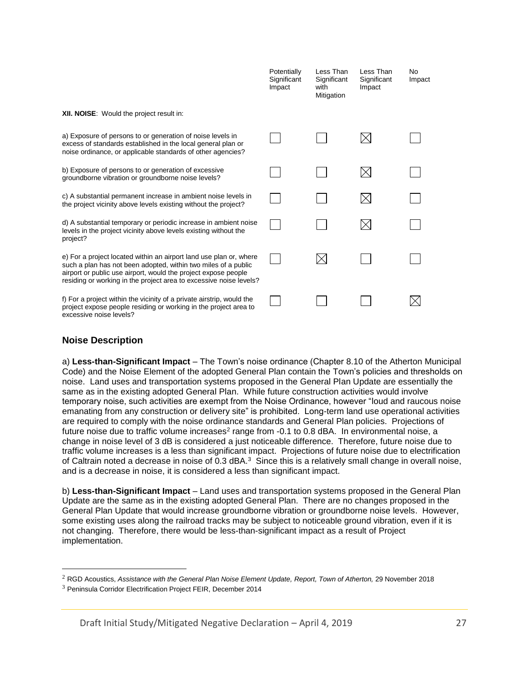|                                                                                                                                                                                                                                                                              | Potentially<br>Significant<br>Impact | Less Than<br>Significant<br>with<br>Mitigation | Less Than<br>Significant<br>Impact | No.<br>Impact |
|------------------------------------------------------------------------------------------------------------------------------------------------------------------------------------------------------------------------------------------------------------------------------|--------------------------------------|------------------------------------------------|------------------------------------|---------------|
| <b>XII. NOISE:</b> Would the project result in:                                                                                                                                                                                                                              |                                      |                                                |                                    |               |
| a) Exposure of persons to or generation of noise levels in<br>excess of standards established in the local general plan or<br>noise ordinance, or applicable standards of other agencies?                                                                                    |                                      |                                                |                                    |               |
| b) Exposure of persons to or generation of excessive<br>groundborne vibration or groundborne noise levels?                                                                                                                                                                   |                                      |                                                |                                    |               |
| c) A substantial permanent increase in ambient noise levels in<br>the project vicinity above levels existing without the project?                                                                                                                                            |                                      |                                                |                                    |               |
| d) A substantial temporary or periodic increase in ambient noise<br>levels in the project vicinity above levels existing without the<br>project?                                                                                                                             |                                      |                                                |                                    |               |
| e) For a project located within an airport land use plan or, where<br>such a plan has not been adopted, within two miles of a public<br>airport or public use airport, would the project expose people<br>residing or working in the project area to excessive noise levels? |                                      | $\times$                                       |                                    |               |
| f) For a project within the vicinity of a private airstrip, would the<br>project expose people residing or working in the project area to<br>excessive noise levels?                                                                                                         |                                      |                                                |                                    |               |

## **Noise Description**

 $\overline{a}$ 

a) **Less-than-Significant Impact** – The Town's noise ordinance (Chapter 8.10 of the Atherton Municipal Code) and the Noise Element of the adopted General Plan contain the Town's policies and thresholds on noise. Land uses and transportation systems proposed in the General Plan Update are essentially the same as in the existing adopted General Plan. While future construction activities would involve temporary noise, such activities are exempt from the Noise Ordinance, however "loud and raucous noise emanating from any construction or delivery site" is prohibited. Long-term land use operational activities are required to comply with the noise ordinance standards and General Plan policies. Projections of future noise due to traffic volume increases<sup>2</sup> range from -0.1 to 0.8 dBA. In environmental noise, a change in noise level of 3 dB is considered a just noticeable difference. Therefore, future noise due to traffic volume increases is a less than significant impact. Projections of future noise due to electrification of Caltrain noted a decrease in noise of 0.3 dBA.<sup>3</sup> Since this is a relatively small change in overall noise, and is a decrease in noise, it is considered a less than significant impact.

b) **Less-than-Significant Impact** – Land uses and transportation systems proposed in the General Plan Update are the same as in the existing adopted General Plan. There are no changes proposed in the General Plan Update that would increase groundborne vibration or groundborne noise levels. However, some existing uses along the railroad tracks may be subject to noticeable ground vibration, even if it is not changing. Therefore, there would be less-than-significant impact as a result of Project implementation.

Draft Initial Study/Mitigated Negative Declaration – April 4, 2019 27

<sup>&</sup>lt;sup>2</sup> RGD Acoustics, Assistance with the General Plan Noise Element Update, Report, Town of Atherton, 29 November 2018

<sup>3</sup> Peninsula Corridor Electrification Project FEIR, December 2014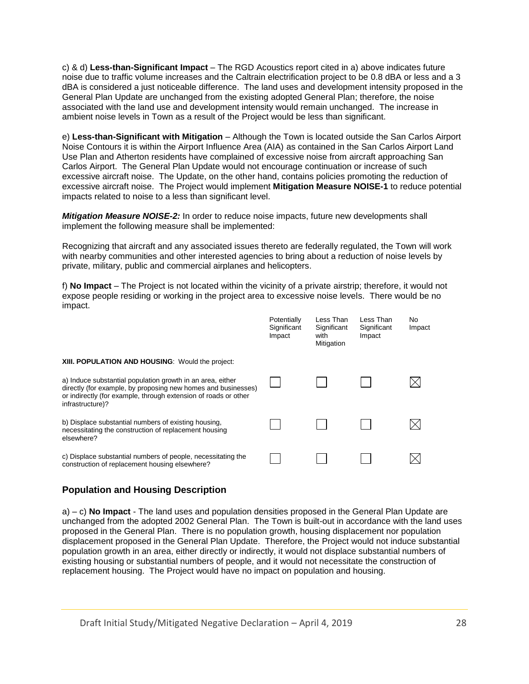c) & d) **Less-than-Significant Impact** – The RGD Acoustics report cited in a) above indicates future noise due to traffic volume increases and the Caltrain electrification project to be 0.8 dBA or less and a 3 dBA is considered a just noticeable difference. The land uses and development intensity proposed in the General Plan Update are unchanged from the existing adopted General Plan; therefore, the noise associated with the land use and development intensity would remain unchanged. The increase in ambient noise levels in Town as a result of the Project would be less than significant.

e) **Less-than-Significant with Mitigation** – Although the Town is located outside the San Carlos Airport Noise Contours it is within the Airport Influence Area (AIA) as contained in the San Carlos Airport Land Use Plan and Atherton residents have complained of excessive noise from aircraft approaching San Carlos Airport. The General Plan Update would not encourage continuation or increase of such excessive aircraft noise. The Update, on the other hand, contains policies promoting the reduction of excessive aircraft noise. The Project would implement **Mitigation Measure NOISE-1** to reduce potential impacts related to noise to a less than significant level.

*Mitigation Measure NOISE-2:* In order to reduce noise impacts, future new developments shall implement the following measure shall be implemented:

Recognizing that aircraft and any associated issues thereto are federally regulated, the Town will work with nearby communities and other interested agencies to bring about a reduction of noise levels by private, military, public and commercial airplanes and helicopters.

f) **No Impact** – The Project is not located within the vicinity of a private airstrip; therefore, it would not expose people residing or working in the project area to excessive noise levels. There would be no impact.

|                                                                                                                                                                                                                    | Potentially<br>Significant<br>Impact | Less Than<br>Significant<br>with<br>Mitigation | Less Than<br>Significant<br>Impact | No.<br>Impact |
|--------------------------------------------------------------------------------------------------------------------------------------------------------------------------------------------------------------------|--------------------------------------|------------------------------------------------|------------------------------------|---------------|
| XIII. POPULATION AND HOUSING: Would the project:                                                                                                                                                                   |                                      |                                                |                                    |               |
| a) Induce substantial population growth in an area, either<br>directly (for example, by proposing new homes and businesses)<br>or indirectly (for example, through extension of roads or other<br>infrastructure)? |                                      |                                                |                                    |               |
| b) Displace substantial numbers of existing housing,<br>necessitating the construction of replacement housing<br>elsewhere?                                                                                        |                                      |                                                |                                    |               |
| c) Displace substantial numbers of people, necessitating the<br>construction of replacement housing elsewhere?                                                                                                     |                                      |                                                |                                    |               |

# **Population and Housing Description**

a) – c) **No Impact** - The land uses and population densities proposed in the General Plan Update are unchanged from the adopted 2002 General Plan. The Town is built-out in accordance with the land uses proposed in the General Plan. There is no population growth, housing displacement nor population displacement proposed in the General Plan Update. Therefore, the Project would not induce substantial population growth in an area, either directly or indirectly, it would not displace substantial numbers of existing housing or substantial numbers of people, and it would not necessitate the construction of replacement housing. The Project would have no impact on population and housing.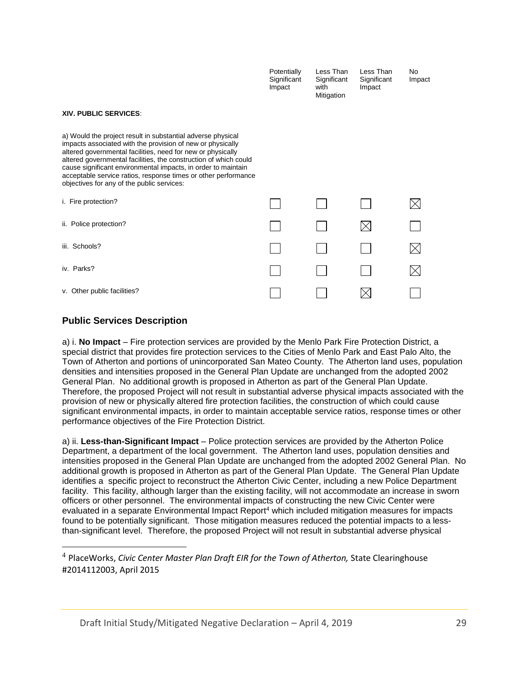|                                                                                                                                                                                                                                                                                                                                                                                                                                               | Potentially<br>Significant<br>Impact | Less Than<br>Significant<br>with<br>Mitigation | Less Than<br>Significant<br>Impact | N <sub>o</sub><br>Impact |
|-----------------------------------------------------------------------------------------------------------------------------------------------------------------------------------------------------------------------------------------------------------------------------------------------------------------------------------------------------------------------------------------------------------------------------------------------|--------------------------------------|------------------------------------------------|------------------------------------|--------------------------|
| <b>XIV. PUBLIC SERVICES.</b>                                                                                                                                                                                                                                                                                                                                                                                                                  |                                      |                                                |                                    |                          |
| a) Would the project result in substantial adverse physical<br>impacts associated with the provision of new or physically<br>altered governmental facilities, need for new or physically<br>altered governmental facilities, the construction of which could<br>cause significant environmental impacts, in order to maintain<br>acceptable service ratios, response times or other performance<br>objectives for any of the public services: |                                      |                                                |                                    |                          |
| i. Fire protection?                                                                                                                                                                                                                                                                                                                                                                                                                           |                                      |                                                |                                    |                          |
| ii. Police protection?                                                                                                                                                                                                                                                                                                                                                                                                                        |                                      |                                                |                                    |                          |
| iii. Schools?                                                                                                                                                                                                                                                                                                                                                                                                                                 |                                      |                                                |                                    |                          |
| iv. Parks?                                                                                                                                                                                                                                                                                                                                                                                                                                    |                                      |                                                |                                    |                          |
| v. Other public facilities?                                                                                                                                                                                                                                                                                                                                                                                                                   |                                      |                                                |                                    |                          |

# **Public Services Description**

 $\overline{a}$ 

a) i. **No Impact** – Fire protection services are provided by the Menlo Park Fire Protection District, a special district that provides fire protection services to the Cities of Menlo Park and East Palo Alto, the Town of Atherton and portions of unincorporated San Mateo County. The Atherton land uses, population densities and intensities proposed in the General Plan Update are unchanged from the adopted 2002 General Plan. No additional growth is proposed in Atherton as part of the General Plan Update. Therefore, the proposed Project will not result in substantial adverse physical impacts associated with the provision of new or physically altered fire protection facilities, the construction of which could cause significant environmental impacts, in order to maintain acceptable service ratios, response times or other performance objectives of the Fire Protection District.

a) ii. **Less-than-Significant Impact** – Police protection services are provided by the Atherton Police Department, a department of the local government. The Atherton land uses, population densities and intensities proposed in the General Plan Update are unchanged from the adopted 2002 General Plan. No additional growth is proposed in Atherton as part of the General Plan Update. The General Plan Update identifies a specific project to reconstruct the Atherton Civic Center, including a new Police Department facility. This facility, although larger than the existing facility, will not accommodate an increase in sworn officers or other personnel. The environmental impacts of constructing the new Civic Center were evaluated in a separate Environmental Impact Report<sup>4</sup> which included mitigation measures for impacts found to be potentially significant. Those mitigation measures reduced the potential impacts to a lessthan-significant level. Therefore, the proposed Project will not result in substantial adverse physical

Draft Initial Study/Mitigated Negative Declaration – April 4, 2019 29

<sup>&</sup>lt;sup>4</sup> PlaceWorks, *Civic Center Master Plan Draft EIR for the Town of Atherton, State Clearinghouse* #2014112003, April 2015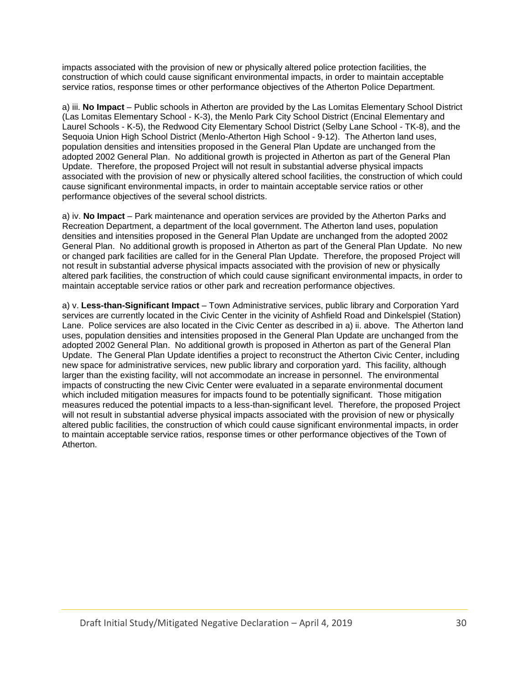impacts associated with the provision of new or physically altered police protection facilities, the construction of which could cause significant environmental impacts, in order to maintain acceptable service ratios, response times or other performance objectives of the Atherton Police Department.

a) iii. **No Impact** – Public schools in Atherton are provided by the Las Lomitas Elementary School District (Las Lomitas Elementary School - K-3), the Menlo Park City School District (Encinal Elementary and Laurel Schools - K-5), the Redwood City Elementary School District (Selby Lane School - TK-8), and the Sequoia Union High School District (Menlo-Atherton High School - 9-12). The Atherton land uses, population densities and intensities proposed in the General Plan Update are unchanged from the adopted 2002 General Plan. No additional growth is projected in Atherton as part of the General Plan Update. Therefore, the proposed Project will not result in substantial adverse physical impacts associated with the provision of new or physically altered school facilities, the construction of which could cause significant environmental impacts, in order to maintain acceptable service ratios or other performance objectives of the several school districts.

a) iv. **No Impact** – Park maintenance and operation services are provided by the Atherton Parks and Recreation Department, a department of the local government. The Atherton land uses, population densities and intensities proposed in the General Plan Update are unchanged from the adopted 2002 General Plan. No additional growth is proposed in Atherton as part of the General Plan Update. No new or changed park facilities are called for in the General Plan Update. Therefore, the proposed Project will not result in substantial adverse physical impacts associated with the provision of new or physically altered park facilities, the construction of which could cause significant environmental impacts, in order to maintain acceptable service ratios or other park and recreation performance objectives.

a) v. **Less-than-Significant Impact** – Town Administrative services, public library and Corporation Yard services are currently located in the Civic Center in the vicinity of Ashfield Road and Dinkelspiel (Station) Lane. Police services are also located in the Civic Center as described in a) ii. above. The Atherton land uses, population densities and intensities proposed in the General Plan Update are unchanged from the adopted 2002 General Plan. No additional growth is proposed in Atherton as part of the General Plan Update. The General Plan Update identifies a project to reconstruct the Atherton Civic Center, including new space for administrative services, new public library and corporation yard. This facility, although larger than the existing facility, will not accommodate an increase in personnel. The environmental impacts of constructing the new Civic Center were evaluated in a separate environmental document which included mitigation measures for impacts found to be potentially significant. Those mitigation measures reduced the potential impacts to a less-than-significant level. Therefore, the proposed Project will not result in substantial adverse physical impacts associated with the provision of new or physically altered public facilities, the construction of which could cause significant environmental impacts, in order to maintain acceptable service ratios, response times or other performance objectives of the Town of Atherton.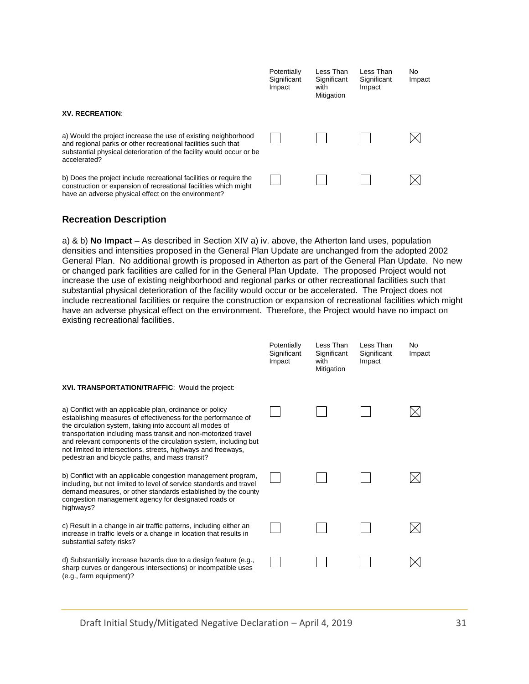|                                                                                                                                                                                                                         | Potentially<br>Significant<br>Impact | Less Than<br>Significant<br>with<br>Mitigation | Less Than<br>Significant<br>Impact | No<br>Impact |
|-------------------------------------------------------------------------------------------------------------------------------------------------------------------------------------------------------------------------|--------------------------------------|------------------------------------------------|------------------------------------|--------------|
| <b>XV. RECREATION:</b>                                                                                                                                                                                                  |                                      |                                                |                                    |              |
| a) Would the project increase the use of existing neighborhood<br>and regional parks or other recreational facilities such that<br>substantial physical deterioration of the facility would occur or be<br>accelerated? |                                      |                                                |                                    |              |
| b) Does the project include recreational facilities or require the<br>construction or expansion of recreational facilities which might<br>have an adverse physical effect on the environment?                           |                                      |                                                |                                    |              |

#### **Recreation Description**

a) & b) **No Impact** – As described in Section XIV a) iv. above, the Atherton land uses, population densities and intensities proposed in the General Plan Update are unchanged from the adopted 2002 General Plan. No additional growth is proposed in Atherton as part of the General Plan Update. No new or changed park facilities are called for in the General Plan Update. The proposed Project would not increase the use of existing neighborhood and regional parks or other recreational facilities such that substantial physical deterioration of the facility would occur or be accelerated. The Project does not include recreational facilities or require the construction or expansion of recreational facilities which might have an adverse physical effect on the environment. Therefore, the Project would have no impact on existing recreational facilities.

|                                                                                                                                                                                                                                                                                                                                                                                                                                                 | Potentially<br>Significant<br>Impact | Less Than<br>Significant<br>with<br>Mitigation | Less Than<br>Significant<br>Impact | <b>No</b><br>Impact |
|-------------------------------------------------------------------------------------------------------------------------------------------------------------------------------------------------------------------------------------------------------------------------------------------------------------------------------------------------------------------------------------------------------------------------------------------------|--------------------------------------|------------------------------------------------|------------------------------------|---------------------|
| XVI. TRANSPORTATION/TRAFFIC: Would the project:                                                                                                                                                                                                                                                                                                                                                                                                 |                                      |                                                |                                    |                     |
| a) Conflict with an applicable plan, ordinance or policy<br>establishing measures of effectiveness for the performance of<br>the circulation system, taking into account all modes of<br>transportation including mass transit and non-motorized travel<br>and relevant components of the circulation system, including but<br>not limited to intersections, streets, highways and freeways,<br>pedestrian and bicycle paths, and mass transit? |                                      |                                                |                                    |                     |
| b) Conflict with an applicable congestion management program,<br>including, but not limited to level of service standards and travel<br>demand measures, or other standards established by the county<br>congestion management agency for designated roads or<br>highways?                                                                                                                                                                      |                                      |                                                |                                    |                     |
| c) Result in a change in air traffic patterns, including either an<br>increase in traffic levels or a change in location that results in<br>substantial safety risks?                                                                                                                                                                                                                                                                           |                                      |                                                |                                    |                     |
| d) Substantially increase hazards due to a design feature (e.g.,<br>sharp curves or dangerous intersections) or incompatible uses<br>(e.g., farm equipment)?                                                                                                                                                                                                                                                                                    |                                      |                                                |                                    |                     |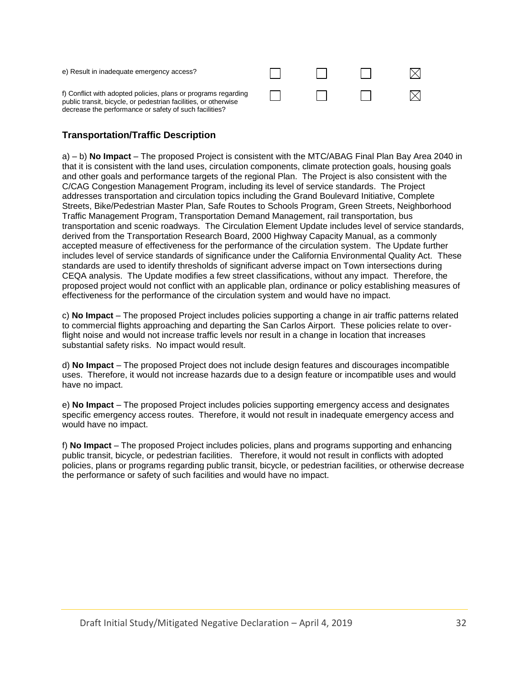| e) Result in inadequate emergency access?                                                                                                                                                   |  |  |
|---------------------------------------------------------------------------------------------------------------------------------------------------------------------------------------------|--|--|
| f) Conflict with adopted policies, plans or programs regarding<br>public transit, bicycle, or pedestrian facilities, or otherwise<br>decrease the performance or safety of such facilities? |  |  |

# **Transportation/Traffic Description**

a) – b) **No Impact** – The proposed Project is consistent with the MTC/ABAG Final Plan Bay Area 2040 in that it is consistent with the land uses, circulation components, climate protection goals, housing goals and other goals and performance targets of the regional Plan. The Project is also consistent with the C/CAG Congestion Management Program, including its level of service standards. The Project addresses transportation and circulation topics including the Grand Boulevard Initiative, Complete Streets, Bike/Pedestrian Master Plan, Safe Routes to Schools Program, Green Streets, Neighborhood Traffic Management Program, Transportation Demand Management, rail transportation, bus transportation and scenic roadways. The Circulation Element Update includes level of service standards, derived from the Transportation Research Board, 2000 Highway Capacity Manual, as a commonly accepted measure of effectiveness for the performance of the circulation system. The Update further includes level of service standards of significance under the California Environmental Quality Act. These standards are used to identify thresholds of significant adverse impact on Town intersections during CEQA analysis. The Update modifies a few street classifications, without any impact. Therefore, the proposed project would not conflict with an applicable plan, ordinance or policy establishing measures of effectiveness for the performance of the circulation system and would have no impact.

c) **No Impact** – The proposed Project includes policies supporting a change in air traffic patterns related to commercial flights approaching and departing the San Carlos Airport. These policies relate to overflight noise and would not increase traffic levels nor result in a change in location that increases substantial safety risks. No impact would result.

d) **No Impact** – The proposed Project does not include design features and discourages incompatible uses. Therefore, it would not increase hazards due to a design feature or incompatible uses and would have no impact.

e) **No Impact** – The proposed Project includes policies supporting emergency access and designates specific emergency access routes. Therefore, it would not result in inadequate emergency access and would have no impact.

f) **No Impact** – The proposed Project includes policies, plans and programs supporting and enhancing public transit, bicycle, or pedestrian facilities. Therefore, it would not result in conflicts with adopted policies, plans or programs regarding public transit, bicycle, or pedestrian facilities, or otherwise decrease the performance or safety of such facilities and would have no impact.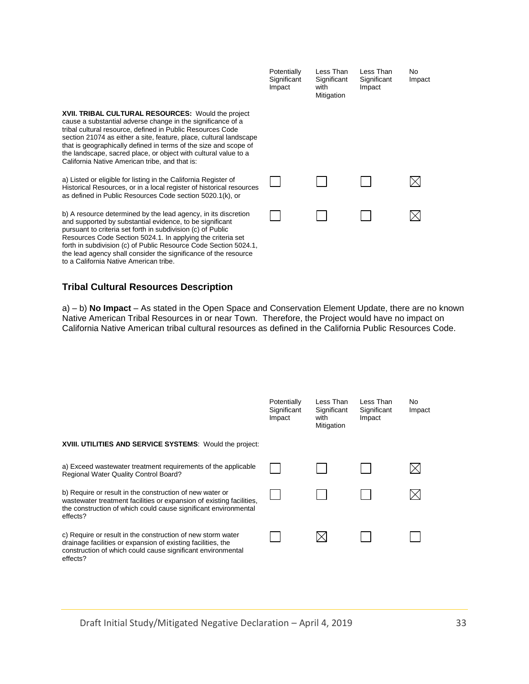|                                                                                                                                                                                                                                                                                                                                                                                                                                                | Potentially<br>Significant<br>Impact | Less Than<br>Significant<br>with<br>Mitigation | Less Than<br>Significant<br>Impact | No<br>Impact |
|------------------------------------------------------------------------------------------------------------------------------------------------------------------------------------------------------------------------------------------------------------------------------------------------------------------------------------------------------------------------------------------------------------------------------------------------|--------------------------------------|------------------------------------------------|------------------------------------|--------------|
| XVII. TRIBAL CULTURAL RESOURCES: Would the project<br>cause a substantial adverse change in the significance of a<br>tribal cultural resource, defined in Public Resources Code<br>section 21074 as either a site, feature, place, cultural landscape<br>that is geographically defined in terms of the size and scope of<br>the landscape, sacred place, or object with cultural value to a<br>California Native American tribe, and that is: |                                      |                                                |                                    |              |
| a) Listed or eligible for listing in the California Register of<br>Historical Resources, or in a local register of historical resources<br>as defined in Public Resources Code section 5020.1(k), or                                                                                                                                                                                                                                           |                                      |                                                |                                    |              |
| b) A resource determined by the lead agency, in its discretion<br>and supported by substantial evidence, to be significant<br>pursuant to criteria set forth in subdivision (c) of Public<br>Resources Code Section 5024.1. In applying the criteria set<br>forth in subdivision (c) of Public Resource Code Section 5024.1,<br>the lead agency shall consider the significance of the resource<br>to a California Native American tribe.      |                                      |                                                |                                    |              |

# **Tribal Cultural Resources Description**

a) – b) **No Impact** – As stated in the Open Space and Conservation Element Update, there are no known Native American Tribal Resources in or near Town. Therefore, the Project would have no impact on California Native American tribal cultural resources as defined in the California Public Resources Code.

|                                                                                                                                                                                                                 | Potentially<br>Significant<br>Impact | Less Than<br>Significant<br>with<br>Mitigation | Less Than<br>Significant<br>Impact | No<br>Impact |
|-----------------------------------------------------------------------------------------------------------------------------------------------------------------------------------------------------------------|--------------------------------------|------------------------------------------------|------------------------------------|--------------|
| XVIII. UTILITIES AND SERVICE SYSTEMS: Would the project:                                                                                                                                                        |                                      |                                                |                                    |              |
| a) Exceed wastewater treatment requirements of the applicable<br>Regional Water Quality Control Board?                                                                                                          |                                      |                                                |                                    |              |
| b) Require or result in the construction of new water or<br>wastewater treatment facilities or expansion of existing facilities,<br>the construction of which could cause significant environmental<br>effects? |                                      |                                                |                                    |              |
| c) Require or result in the construction of new storm water<br>drainage facilities or expansion of existing facilities, the<br>construction of which could cause significant environmental<br>effects?          |                                      |                                                |                                    |              |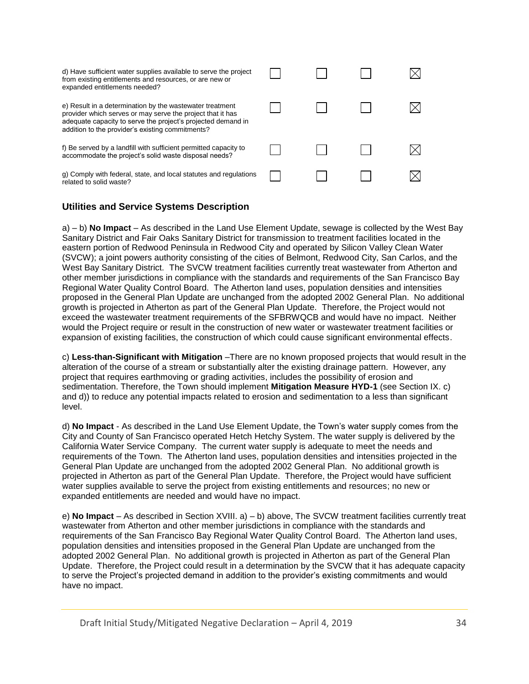| d) Have sufficient water supplies available to serve the project<br>from existing entitlements and resources, or are new or<br>expanded entitlements needed?                                                                               |  |  |
|--------------------------------------------------------------------------------------------------------------------------------------------------------------------------------------------------------------------------------------------|--|--|
| e) Result in a determination by the wastewater treatment<br>provider which serves or may serve the project that it has<br>adequate capacity to serve the project's projected demand in<br>addition to the provider's existing commitments? |  |  |
| f) Be served by a landfill with sufficient permitted capacity to<br>accommodate the project's solid waste disposal needs?                                                                                                                  |  |  |
| g) Comply with federal, state, and local statutes and regulations<br>related to solid waste?                                                                                                                                               |  |  |

## **Utilities and Service Systems Description**

a) – b) **No Impact** – As described in the Land Use Element Update, sewage is collected by the West Bay Sanitary District and Fair Oaks Sanitary District for transmission to treatment facilities located in the eastern portion of Redwood Peninsula in Redwood City and operated by Silicon Valley Clean Water (SVCW); a joint powers authority consisting of the cities of Belmont, Redwood City, San Carlos, and the West Bay Sanitary District. The SVCW treatment facilities currently treat wastewater from Atherton and other member jurisdictions in compliance with the standards and requirements of the San Francisco Bay Regional Water Quality Control Board. The Atherton land uses, population densities and intensities proposed in the General Plan Update are unchanged from the adopted 2002 General Plan. No additional growth is projected in Atherton as part of the General Plan Update. Therefore, the Project would not exceed the wastewater treatment requirements of the SFBRWQCB and would have no impact. Neither would the Project require or result in the construction of new water or wastewater treatment facilities or expansion of existing facilities, the construction of which could cause significant environmental effects.

c) **Less-than-Significant with Mitigation** –There are no known proposed projects that would result in the alteration of the course of a stream or substantially alter the existing drainage pattern. However, any project that requires earthmoving or grading activities, includes the possibility of erosion and sedimentation. Therefore, the Town should implement **Mitigation Measure HYD-1** (see Section IX. c) and d)) to reduce any potential impacts related to erosion and sedimentation to a less than significant level.

d) **No Impact** - As described in the Land Use Element Update, the Town's water supply comes from the City and County of San Francisco operated Hetch Hetchy System. The water supply is delivered by the California Water Service Company. The current water supply is adequate to meet the needs and requirements of the Town. The Atherton land uses, population densities and intensities projected in the General Plan Update are unchanged from the adopted 2002 General Plan. No additional growth is projected in Atherton as part of the General Plan Update. Therefore, the Project would have sufficient water supplies available to serve the project from existing entitlements and resources; no new or expanded entitlements are needed and would have no impact.

e) **No Impact** – As described in Section XVIII. a) – b) above, The SVCW treatment facilities currently treat wastewater from Atherton and other member jurisdictions in compliance with the standards and requirements of the San Francisco Bay Regional Water Quality Control Board. The Atherton land uses, population densities and intensities proposed in the General Plan Update are unchanged from the adopted 2002 General Plan. No additional growth is projected in Atherton as part of the General Plan Update. Therefore, the Project could result in a determination by the SVCW that it has adequate capacity to serve the Project's projected demand in addition to the provider's existing commitments and would have no impact.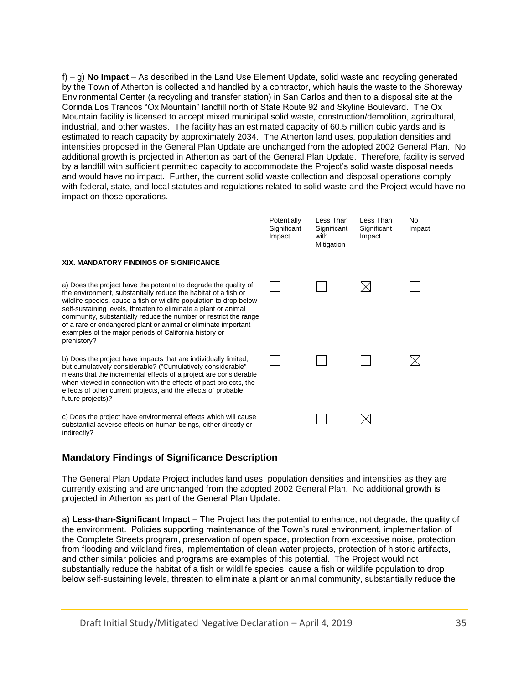f) – g) **No Impact** – As described in the Land Use Element Update, solid waste and recycling generated by the Town of Atherton is collected and handled by a contractor, which hauls the waste to the Shoreway Environmental Center (a recycling and transfer station) in San Carlos and then to a disposal site at the Corinda Los Trancos "Ox Mountain" landfill north of State Route 92 and Skyline Boulevard. The Ox Mountain facility is licensed to accept mixed municipal solid waste, construction/demolition, agricultural, industrial, and other wastes. The facility has an estimated capacity of 60.5 million cubic yards and is estimated to reach capacity by approximately 2034. The Atherton land uses, population densities and intensities proposed in the General Plan Update are unchanged from the adopted 2002 General Plan. No additional growth is projected in Atherton as part of the General Plan Update. Therefore, facility is served by a landfill with sufficient permitted capacity to accommodate the Project's solid waste disposal needs and would have no impact. Further, the current solid waste collection and disposal operations comply with federal, state, and local statutes and regulations related to solid waste and the Project would have no impact on those operations.

|                                                                                                                                                                                                                                                                                                                                                                                                                                                                                             | Potentially<br>Significant<br>Impact | Less Than<br>Significant<br>with<br>Mitigation | Less Than<br>Significant<br>Impact | N <sub>o</sub><br>Impact |
|---------------------------------------------------------------------------------------------------------------------------------------------------------------------------------------------------------------------------------------------------------------------------------------------------------------------------------------------------------------------------------------------------------------------------------------------------------------------------------------------|--------------------------------------|------------------------------------------------|------------------------------------|--------------------------|
| XIX. MANDATORY FINDINGS OF SIGNIFICANCE                                                                                                                                                                                                                                                                                                                                                                                                                                                     |                                      |                                                |                                    |                          |
| a) Does the project have the potential to degrade the quality of<br>the environment, substantially reduce the habitat of a fish or<br>wildlife species, cause a fish or wildlife population to drop below<br>self-sustaining levels, threaten to eliminate a plant or animal<br>community, substantially reduce the number or restrict the range<br>of a rare or endangered plant or animal or eliminate important<br>examples of the major periods of California history or<br>prehistory? |                                      |                                                |                                    |                          |
| b) Does the project have impacts that are individually limited,<br>but cumulatively considerable? ("Cumulatively considerable"<br>means that the incremental effects of a project are considerable<br>when viewed in connection with the effects of past projects, the<br>effects of other current projects, and the effects of probable<br>future projects)?                                                                                                                               |                                      |                                                |                                    |                          |
| c) Does the project have environmental effects which will cause<br>substantial adverse effects on human beings, either directly or<br>indirectly?                                                                                                                                                                                                                                                                                                                                           |                                      |                                                |                                    |                          |

# **Mandatory Findings of Significance Description**

The General Plan Update Project includes land uses, population densities and intensities as they are currently existing and are unchanged from the adopted 2002 General Plan. No additional growth is projected in Atherton as part of the General Plan Update.

a) **Less-than-Significant Impact** – The Project has the potential to enhance, not degrade, the quality of the environment. Policies supporting maintenance of the Town's rural environment, implementation of the Complete Streets program, preservation of open space, protection from excessive noise, protection from flooding and wildland fires, implementation of clean water projects, protection of historic artifacts, and other similar policies and programs are examples of this potential. The Project would not substantially reduce the habitat of a fish or wildlife species, cause a fish or wildlife population to drop below self-sustaining levels, threaten to eliminate a plant or animal community, substantially reduce the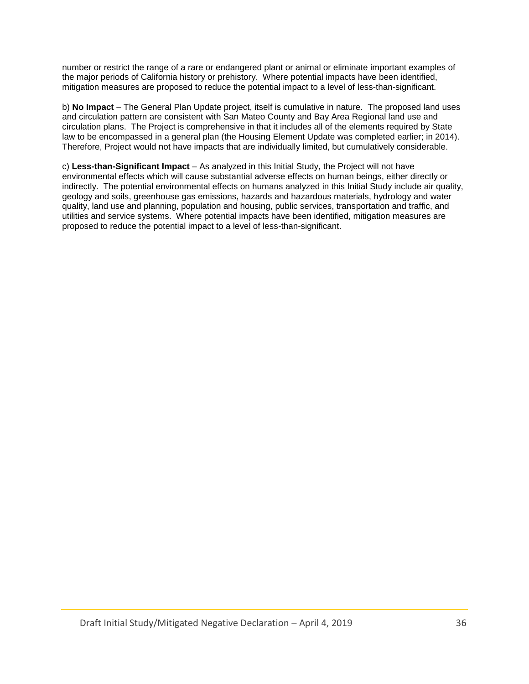number or restrict the range of a rare or endangered plant or animal or eliminate important examples of the major periods of California history or prehistory. Where potential impacts have been identified, mitigation measures are proposed to reduce the potential impact to a level of less-than-significant.

b) **No Impact** – The General Plan Update project, itself is cumulative in nature. The proposed land uses and circulation pattern are consistent with San Mateo County and Bay Area Regional land use and circulation plans. The Project is comprehensive in that it includes all of the elements required by State law to be encompassed in a general plan (the Housing Element Update was completed earlier; in 2014). Therefore, Project would not have impacts that are individually limited, but cumulatively considerable.

c) **Less-than-Significant Impact** – As analyzed in this Initial Study, the Project will not have environmental effects which will cause substantial adverse effects on human beings, either directly or indirectly. The potential environmental effects on humans analyzed in this Initial Study include air quality, geology and soils, greenhouse gas emissions, hazards and hazardous materials, hydrology and water quality, land use and planning, population and housing, public services, transportation and traffic, and utilities and service systems. Where potential impacts have been identified, mitigation measures are proposed to reduce the potential impact to a level of less-than-significant.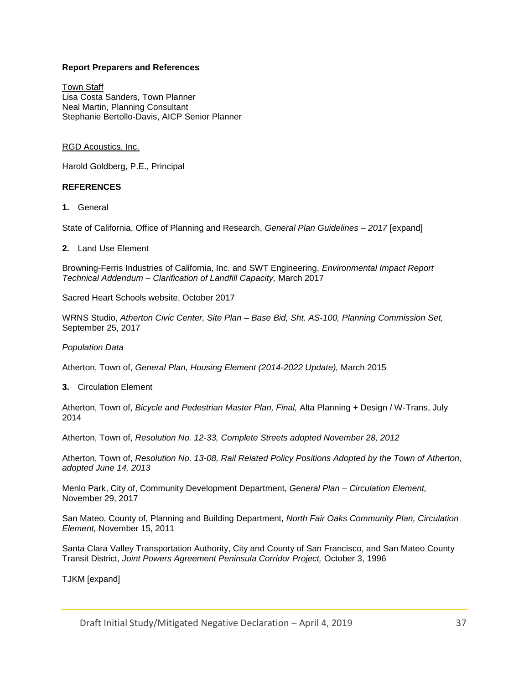#### **Report Preparers and References**

Town Staff Lisa Costa Sanders, Town Planner Neal Martin, Planning Consultant Stephanie Bertollo-Davis, AICP Senior Planner

#### RGD Acoustics, Inc.

Harold Goldberg, P.E., Principal

#### **REFERENCES**

**1.** General

State of California, Office of Planning and Research, *General Plan Guidelines – 2017* [expand]

#### **2.** Land Use Element

Browning-Ferris Industries of California, Inc. and SWT Engineering, *Environmental Impact Report Technical Addendum – Clarification of Landfill Capacity,* March 2017

Sacred Heart Schools website, October 2017

WRNS Studio, *Atherton Civic Center, Site Plan – Base Bid, Sht. AS-100, Planning Commission Set,* September 25, 2017

#### *Population Data*

Atherton, Town of, *General Plan, Housing Element (2014-2022 Update),* March 2015

**3.** Circulation Element

Atherton, Town of, *Bicycle and Pedestrian Master Plan, Final,* Alta Planning + Design / W-Trans, July 2014

Atherton, Town of, *Resolution No. 12-33, Complete Streets adopted November 28, 2012*

Atherton, Town of, *Resolution No. 13-08, Rail Related Policy Positions Adopted by the Town of Atherton, adopted June 14, 2013*

Menlo Park, City of, Community Development Department, *General Plan – Circulation Element,* November 29, 2017

San Mateo, County of, Planning and Building Department, *North Fair Oaks Community Plan, Circulation Element,* November 15, 2011

Santa Clara Valley Transportation Authority, City and County of San Francisco, and San Mateo County Transit District, *Joint Powers Agreement Peninsula Corridor Project,* October 3, 1996

TJKM [expand]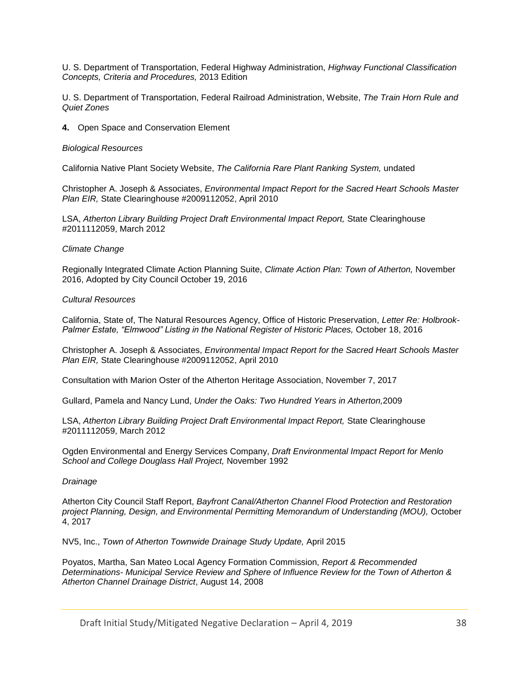U. S. Department of Transportation, Federal Highway Administration, *Highway Functional Classification Concepts, Criteria and Procedures,* 2013 Edition

U. S. Department of Transportation, Federal Railroad Administration, Website, *The Train Horn Rule and Quiet Zones*

**4.** Open Space and Conservation Element

#### *Biological Resources*

California Native Plant Society Website, *The California Rare Plant Ranking System,* undated

Christopher A. Joseph & Associates, *Environmental Impact Report for the Sacred Heart Schools Master Plan EIR,* State Clearinghouse #2009112052, April 2010

LSA, *Atherton Library Building Project Draft Environmental Impact Report,* State Clearinghouse #2011112059, March 2012

#### *Climate Change*

Regionally Integrated Climate Action Planning Suite, *Climate Action Plan: Town of Atherton,* November 2016, Adopted by City Council October 19, 2016

#### *Cultural Resources*

California, State of, The Natural Resources Agency, Office of Historic Preservation, *Letter Re: Holbrook-Palmer Estate, "Elmwood" Listing in the National Register of Historic Places,* October 18, 2016

Christopher A. Joseph & Associates, *Environmental Impact Report for the Sacred Heart Schools Master Plan EIR,* State Clearinghouse #2009112052, April 2010

Consultation with Marion Oster of the Atherton Heritage Association, November 7, 2017

Gullard, Pamela and Nancy Lund, *Under the Oaks: Two Hundred Years in Atherton,*2009

LSA, *Atherton Library Building Project Draft Environmental Impact Report,* State Clearinghouse #2011112059, March 2012

Ogden Environmental and Energy Services Company, *Draft Environmental Impact Report for Menlo School and College Douglass Hall Project,* November 1992

#### *Drainage*

Atherton City Council Staff Report, *Bayfront Canal/Atherton Channel Flood Protection and Restoration project Planning, Design, and Environmental Permitting Memorandum of Understanding (MOU),* October 4, 2017

NV5, Inc., *Town of Atherton Townwide Drainage Study Update,* April 2015

Poyatos, Martha, San Mateo Local Agency Formation Commission, *Report & Recommended Determinations- Municipal Service Review and Sphere of Influence Review for the Town of Atherton & Atherton Channel Drainage District*, August 14, 2008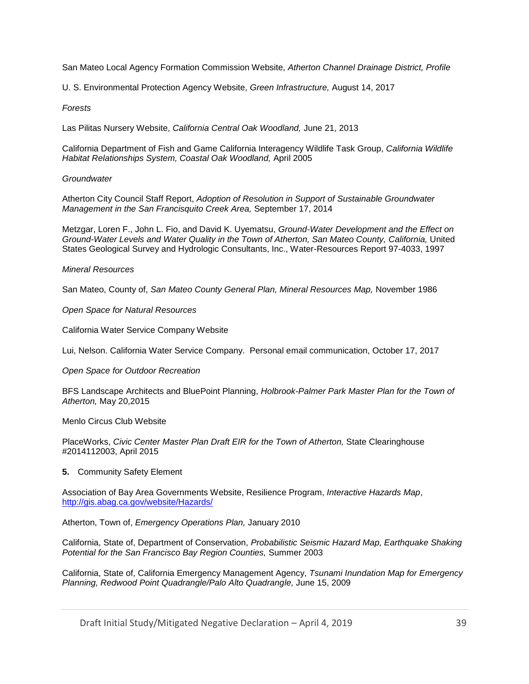San Mateo Local Agency Formation Commission Website, *Atherton Channel Drainage District, Profile*

U. S. Environmental Protection Agency Website, *Green Infrastructure,* August 14, 2017

#### *Forests*

Las Pilitas Nursery Website, *California Central Oak Woodland,* June 21, 2013

California Department of Fish and Game California Interagency Wildlife Task Group, *California Wildlife Habitat Relationships System, Coastal Oak Woodland,* April 2005

#### *Groundwater*

Atherton City Council Staff Report, *Adoption of Resolution in Support of Sustainable Groundwater Management in the San Francisquito Creek Area,* September 17, 2014

Metzgar, Loren F., John L. Fio, and David K. Uyematsu, *Ground-Water Development and the Effect on Ground-Water Levels and Water Quality in the Town of Atherton, San Mateo County, California,* United States Geological Survey and Hydrologic Consultants, Inc., Water-Resources Report 97-4033, 1997

#### *Mineral Resources*

San Mateo, County of, *San Mateo County General Plan, Mineral Resources Map,* November 1986

*Open Space for Natural Resources*

California Water Service Company Website

Lui, Nelson. California Water Service Company. Personal email communication, October 17, 2017

#### *Open Space for Outdoor Recreation*

BFS Landscape Architects and BluePoint Planning, *Holbrook-Palmer Park Master Plan for the Town of Atherton,* May 20,2015

Menlo Circus Club Website

PlaceWorks, *Civic Center Master Plan Draft EIR for the Town of Atherton*, State Clearinghouse #2014112003, April 2015

#### **5.** Community Safety Element

Association of Bay Area Governments Website, Resilience Program, *Interactive Hazards Map*, <http://gis.abag.ca.gov/website/Hazards/>

Atherton, Town of, *Emergency Operations Plan,* January 2010

California, State of, Department of Conservation, *Probabilistic Seismic Hazard Map, Earthquake Shaking Potential for the San Francisco Bay Region Counties,* Summer 2003

California, State of, California Emergency Management Agency, *Tsunami Inundation Map for Emergency Planning, Redwood Point Quadrangle/Palo Alto Quadrangle,* June 15, 2009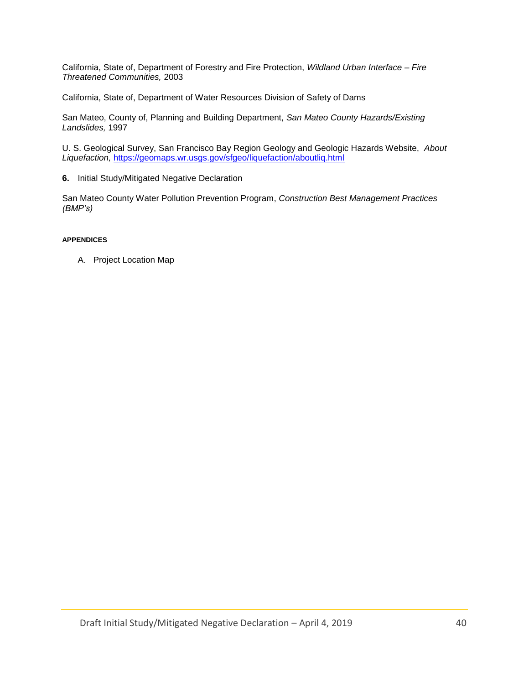California, State of, Department of Forestry and Fire Protection, *Wildland Urban Interface – Fire Threatened Communities,* 2003

California, State of, Department of Water Resources Division of Safety of Dams

San Mateo, County of, Planning and Building Department, *San Mateo County Hazards/Existing Landslides,* 1997

U. S. Geological Survey, San Francisco Bay Region Geology and Geologic Hazards Website, *About Liquefaction,* <https://geomaps.wr.usgs.gov/sfgeo/liquefaction/aboutliq.html>

**6.** Initial Study/Mitigated Negative Declaration

San Mateo County Water Pollution Prevention Program, *Construction Best Management Practices (BMP's)*

#### **APPENDICES**

A. Project Location Map